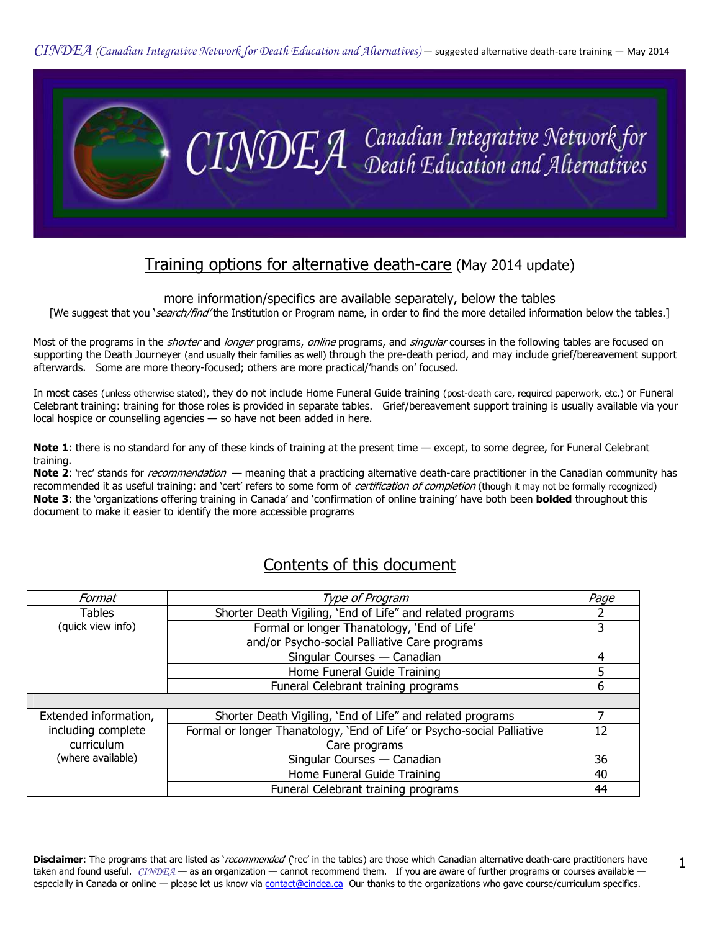

# Training options for alternative death-care (May 2014 update)

more information/specifics are available separately, below the tables

[We suggest that you 'search/find' the Institution or Program name, in order to find the more detailed information below the tables.]

Most of the programs in the *shorter* and *longer* programs, *online* programs, and *singular* courses in the following tables are focused on supporting the Death Journeyer (and usually their families as well) through the pre-death period, and may include grief/bereavement support afterwards. Some are more theory-focused; others are more practical/'hands on' focused.

In most cases (unless otherwise stated), they do not include Home Funeral Guide training (post-death care, required paperwork, etc.) or Funeral Celebrant training: training for those roles is provided in separate tables. Grief/bereavement support training is usually available via your local hospice or counselling agencies — so have not been added in here.

Note 1: there is no standard for any of these kinds of training at the present time — except, to some degree, for Funeral Celebrant training.

Note 2: 'rec' stands for *recommendation* — meaning that a practicing alternative death-care practitioner in the Canadian community has recommended it as useful training: and 'cert' refers to some form of *certification of completion* (though it may not be formally recognized) Note 3: the 'organizations offering training in Canada' and 'confirmation of online training' have both been bolded throughout this document to make it easier to identify the more accessible programs

# Contents of this document

| Format                | Type of Program                                                         | Page |
|-----------------------|-------------------------------------------------------------------------|------|
| <b>Tables</b>         | Shorter Death Vigiling, 'End of Life" and related programs              |      |
| (quick view info)     | Formal or longer Thanatology, 'End of Life'                             |      |
|                       | and/or Psycho-social Palliative Care programs                           |      |
|                       | Singular Courses - Canadian                                             | 4    |
|                       | Home Funeral Guide Training                                             |      |
|                       | Funeral Celebrant training programs                                     | 6    |
|                       |                                                                         |      |
| Extended information, | Shorter Death Vigiling, 'End of Life" and related programs              |      |
| including complete    | Formal or longer Thanatology, 'End of Life' or Psycho-social Palliative | 12   |
| curriculum            | Care programs                                                           |      |
| (where available)     | Singular Courses - Canadian                                             | 36   |
|                       | Home Funeral Guide Training                                             | 40   |
|                       | Funeral Celebrant training programs                                     | 44   |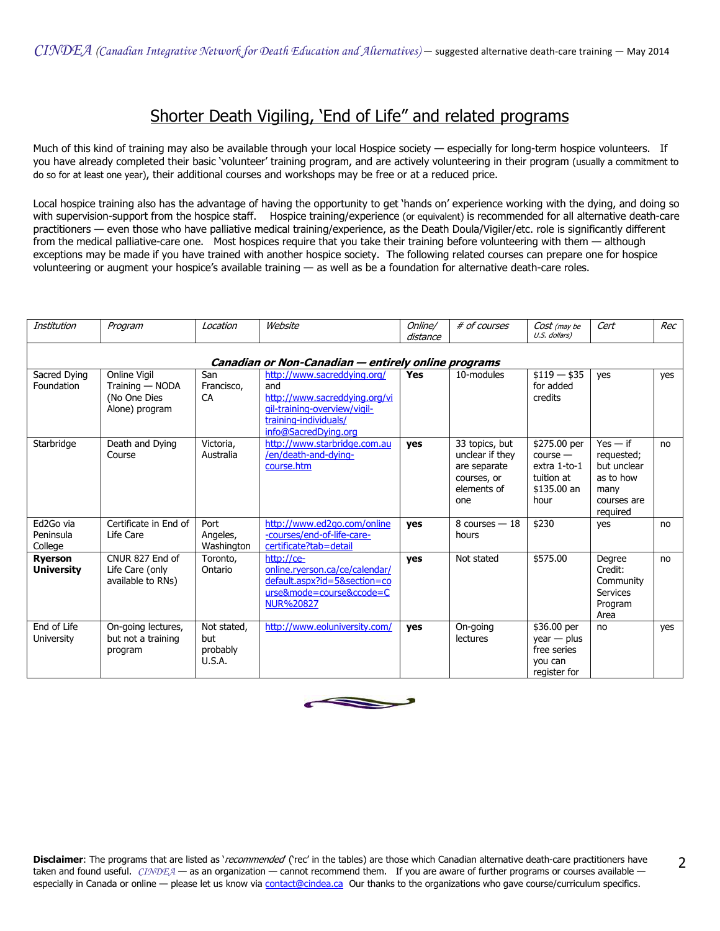# Shorter Death Vigiling, 'End of Life" and related programs

Much of this kind of training may also be available through your local Hospice society — especially for long-term hospice volunteers. If you have already completed their basic 'volunteer' training program, and are actively volunteering in their program (usually a commitment to do so for at least one year), their additional courses and workshops may be free or at a reduced price.

Local hospice training also has the advantage of having the opportunity to get 'hands on' experience working with the dying, and doing so with supervision-support from the hospice staff. Hospice training/experience (or equivalent) is recommended for all alternative death-care practitioners — even those who have palliative medical training/experience, as the Death Doula/Vigiler/etc. role is significantly different from the medical palliative-care one. Most hospices require that you take their training before volunteering with them — although exceptions may be made if you have trained with another hospice society. The following related courses can prepare one for hospice volunteering or augment your hospice's available training — as well as be a foundation for alternative death-care roles.

| Institution                         | Program                                                           | Location                                 | Website                                                                                                                                              | Online/<br>distance | # of courses                                                                           | Cost (may be<br>U.S. dollars)                                                   | Cert                                                                                    | Rec |  |  |
|-------------------------------------|-------------------------------------------------------------------|------------------------------------------|------------------------------------------------------------------------------------------------------------------------------------------------------|---------------------|----------------------------------------------------------------------------------------|---------------------------------------------------------------------------------|-----------------------------------------------------------------------------------------|-----|--|--|
|                                     | Canadian or Non-Canadian - entirely online programs               |                                          |                                                                                                                                                      |                     |                                                                                        |                                                                                 |                                                                                         |     |  |  |
| Sacred Dying<br>Foundation          | Online Vigil<br>Training - NODA<br>(No One Dies<br>Alone) program | San<br>Francisco,<br>CA                  | http://www.sacreddying.org/<br>and<br>http://www.sacreddying.org/vi<br>qil-training-overview/vigil-<br>training-individuals/<br>info@SacredDying.org | Yes                 | 10-modules                                                                             | $$119 - $35$<br>for added<br>credits                                            | yes                                                                                     | yes |  |  |
| Starbridge                          | Death and Dying<br>Course                                         | Victoria,<br>Australia                   | http://www.starbridge.com.au<br>/en/death-and-dying-<br>course.htm                                                                                   | <b>ves</b>          | 33 topics, but<br>unclear if they<br>are separate<br>courses, or<br>elements of<br>one | \$275.00 per<br>$course -$<br>extra 1-to-1<br>tuition at<br>\$135.00 an<br>hour | $Yes - if$<br>requested;<br>but unclear<br>as to how<br>many<br>courses are<br>required | no  |  |  |
| Ed2Go via<br>Peninsula<br>College   | Certificate in End of<br>Life Care                                | Port<br>Angeles,<br>Washington           | http://www.ed2go.com/online<br>-courses/end-of-life-care-<br>certificate?tab=detail                                                                  | yes                 | 8 courses $-18$<br>hours                                                               | \$230                                                                           | yes                                                                                     | no  |  |  |
| <b>Ryerson</b><br><b>University</b> | CNUR 827 End of<br>Life Care (only<br>available to RNs)           | Toronto,<br>Ontario                      | http://ce-<br>online.ryerson.ca/ce/calendar/<br>default.aspx?id=5&section=co<br>urse&mode=course&ccode=C<br>NUR%20827                                | yes                 | Not stated                                                                             | \$575.00                                                                        | Degree<br>Credit:<br>Community<br><b>Services</b><br>Program<br>Area                    | no  |  |  |
| End of Life<br><b>University</b>    | On-going lectures,<br>but not a training<br>program               | Not stated,<br>but<br>probably<br>U.S.A. | http://www.eoluniversity.com/                                                                                                                        | yes                 | On-going<br><b>lectures</b>                                                            | \$36.00 per<br>$year - plus$<br>free series<br>you can<br>register for          | no                                                                                      | yes |  |  |

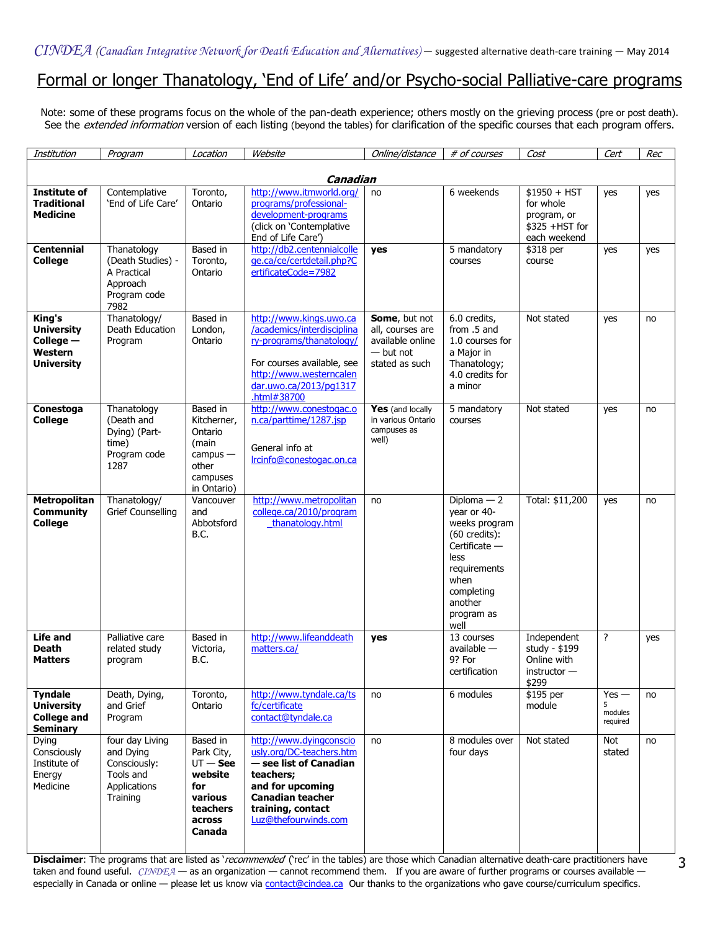## Formal or longer Thanatology, 'End of Life' and/or Psycho-social Palliative-care programs

Note: some of these programs focus on the whole of the pan-death experience; others mostly on the grieving process (pre or post death). See the extended information version of each listing (beyond the tables) for clarification of the specific courses that each program offers.

| Institution                                                                  | Program                                                                               | Location                                                                                          | Website                                                                                                                                                                                | Online/distance                                                                        | # of courses                                                                                                                                                             | Cost                                                                        | Cert                           | Rec |  |
|------------------------------------------------------------------------------|---------------------------------------------------------------------------------------|---------------------------------------------------------------------------------------------------|----------------------------------------------------------------------------------------------------------------------------------------------------------------------------------------|----------------------------------------------------------------------------------------|--------------------------------------------------------------------------------------------------------------------------------------------------------------------------|-----------------------------------------------------------------------------|--------------------------------|-----|--|
|                                                                              | Canadian                                                                              |                                                                                                   |                                                                                                                                                                                        |                                                                                        |                                                                                                                                                                          |                                                                             |                                |     |  |
| <b>Institute of</b><br><b>Traditional</b><br><b>Medicine</b>                 | Contemplative<br>'End of Life Care'                                                   | Toronto,<br>Ontario                                                                               | http://www.itmworld.org/<br>programs/professional-<br>development-programs<br>(click on 'Contemplative<br>End of Life Care')                                                           | no                                                                                     | 6 weekends                                                                                                                                                               | $$1950 + HST$<br>for whole<br>program, or<br>\$325 +HST for<br>each weekend | yes                            | yes |  |
| <b>Centennial</b><br><b>College</b>                                          | Thanatology<br>(Death Studies) -<br>A Practical<br>Approach<br>Program code<br>7982   | Based in<br>Toronto,<br>Ontario                                                                   | http://db2.centennialcolle<br>ge.ca/ce/certdetail.php?C<br>ertificateCode=7982                                                                                                         | yes                                                                                    | 5 mandatory<br>courses                                                                                                                                                   | \$318 per<br>course                                                         | yes                            | yes |  |
| King's<br><b>University</b><br>College $-$<br>Western<br><b>University</b>   | Thanatology/<br>Death Education<br>Program                                            | Based in<br>London,<br>Ontario                                                                    | http://www.kings.uwo.ca<br>/academics/interdisciplina<br>ry-programs/thanatology/<br>For courses available, see<br>http://www.westerncalen<br>dar.uwo.ca/2013/pq1317<br>.html#38700    | Some, but not<br>all, courses are<br>available online<br>$-$ but not<br>stated as such | 6.0 credits,<br>from .5 and<br>1.0 courses for<br>a Major in<br>Thanatology;<br>4.0 credits for<br>a minor                                                               | Not stated                                                                  | yes                            | no  |  |
| Conestoga<br><b>College</b>                                                  | Thanatology<br>(Death and<br>Dying) (Part-<br>time)<br>Program code<br>1287           | Based in<br>Kitcherner,<br>Ontario<br>(main<br>$campus -$<br>other<br>campuses<br>in Ontario)     | http://www.conestogac.o<br>n.ca/parttime/1287.jsp<br>General info at<br>Ircinfo@conestogac.on.ca                                                                                       | Yes (and locally<br>in various Ontario<br>campuses as<br>well)                         | 5 mandatory<br>courses                                                                                                                                                   | Not stated                                                                  | yes                            | no  |  |
| Metropolitan<br><b>Community</b><br><b>College</b>                           | Thanatology/<br>Grief Counselling                                                     | Vancouver<br>and<br>Abbotsford<br>B.C.                                                            | http://www.metropolitan<br>college.ca/2010/program<br>thanatology.html                                                                                                                 | no                                                                                     | Diploma $-2$<br>year or 40-<br>weeks program<br>$(60 \text{ credits})$ :<br>Certificate -<br>less<br>requirements<br>when<br>completing<br>another<br>program as<br>well | Total: \$11,200                                                             | yes                            | no  |  |
| <b>Life and</b><br><b>Death</b><br><b>Matters</b>                            | Palliative care<br>related study<br>program                                           | Based in<br>Victoria,<br><b>B.C.</b>                                                              | http://www.lifeanddeath<br>matters.ca/                                                                                                                                                 | yes                                                                                    | 13 courses<br>available $-$<br>9? For<br>certification                                                                                                                   | Independent<br>study - \$199<br>Online with<br>instructor -<br>\$299        | ?                              | yes |  |
| <b>Tyndale</b><br><b>University</b><br><b>College and</b><br><b>Seminary</b> | Death, Dying,<br>and Grief<br>Program                                                 | Toronto,<br>Ontario                                                                               | http://www.tyndale.ca/ts<br>fc/certificate<br>contact@tyndale.ca                                                                                                                       | no                                                                                     | 6 modules                                                                                                                                                                | \$195 per<br>module                                                         | $Yes -$<br>modules<br>required | no  |  |
| Dying<br>Consciously<br>Institute of<br>Energy<br>Medicine                   | four day Living<br>and Dying<br>Consciously:<br>Tools and<br>Applications<br>Training | Based in<br>Park City,<br>$UT -$ See<br>website<br>for<br>various<br>teachers<br>across<br>Canada | http://www.dyingconscio<br>usly.org/DC-teachers.htm<br>- see list of Canadian<br>teachers;<br>and for upcoming<br><b>Canadian teacher</b><br>training, contact<br>Luz@thefourwinds.com | no                                                                                     | 8 modules over<br>four days                                                                                                                                              | Not stated                                                                  | Not<br>stated                  | no  |  |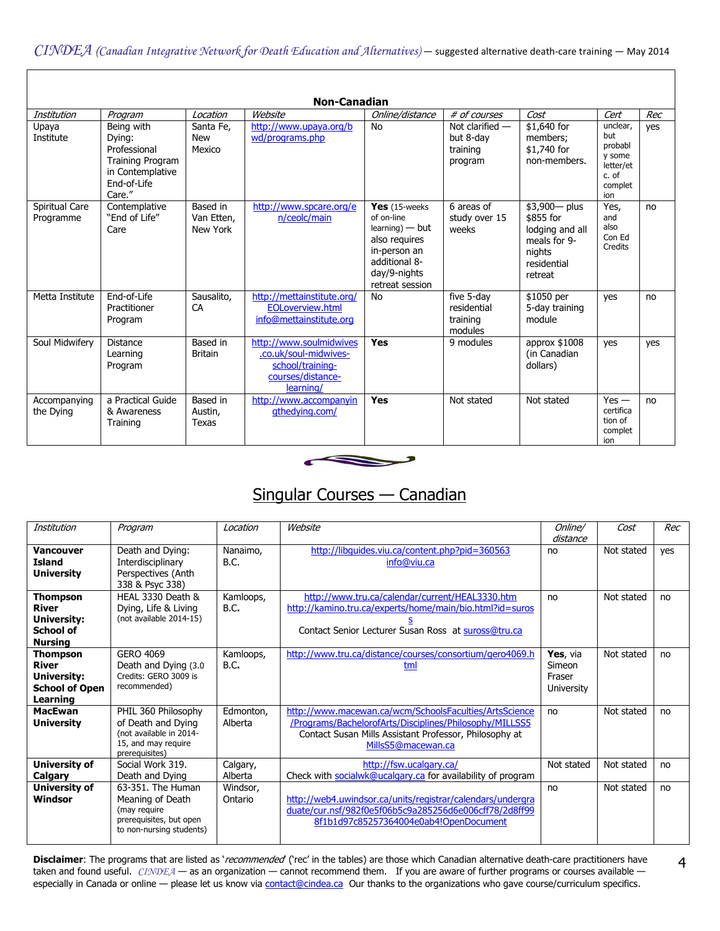| <b>Non-Canadian</b>         |                                                                                                              |                                    |                                                                                                        |                                                                                                                                           |                                                       |                                                                                                     |                                                                              |     |
|-----------------------------|--------------------------------------------------------------------------------------------------------------|------------------------------------|--------------------------------------------------------------------------------------------------------|-------------------------------------------------------------------------------------------------------------------------------------------|-------------------------------------------------------|-----------------------------------------------------------------------------------------------------|------------------------------------------------------------------------------|-----|
| Institution                 | Program                                                                                                      | Location                           | Website                                                                                                | Online/distance                                                                                                                           | # of courses                                          | Cost                                                                                                | Cert                                                                         | Rec |
| Upaya<br>Institute          | Being with<br>Dying:<br>Professional<br><b>Training Program</b><br>in Contemplative<br>End-of-Life<br>Care." | Santa Fe.<br><b>New</b><br>Mexico  | http://www.upaya.org/b<br>wd/programs.php                                                              | No                                                                                                                                        | Not clarified $-$<br>but 8-day<br>training<br>program | \$1,640 for<br>members;<br>\$1,740 for<br>non-members.                                              | unclear,<br>but<br>probabl<br>y some<br>letter/et<br>c. of<br>complet<br>ion | yes |
| Spiritual Care<br>Programme | Contemplative<br>"End of Life"<br>Care                                                                       | Based in<br>Van Etten,<br>New York | http://www.spcare.org/e<br>n/ceolc/main                                                                | Yes $(15$ -weeks<br>of on-line<br>$learning$ ) — but<br>also requires<br>in-person an<br>additional 8-<br>day/9-nights<br>retreat session | 6 areas of<br>study over 15<br>weeks                  | $$3,900 - plus$<br>\$855 for<br>lodging and all<br>meals for 9-<br>nights<br>residential<br>retreat | Yes.<br>and<br>also<br>Con Ed<br>Credits                                     | no  |
| Metta Institute             | End-of-Life<br>Practitioner<br>Program                                                                       | Sausalito,<br>CA                   | http://mettainstitute.org/<br><b>EOLoverview.html</b><br>info@mettainstitute.org                       | <b>No</b>                                                                                                                                 | five 5-day<br>residential<br>training<br>modules      | \$1050 per<br>5-day training<br>module                                                              | yes                                                                          | no  |
| Soul Midwifery              | <b>Distance</b><br>Learning<br>Program                                                                       | Based in<br><b>Britain</b>         | http://www.soulmidwives<br>.co.uk/soul-midwives-<br>school/training-<br>courses/distance-<br>learning/ | Yes                                                                                                                                       | 9 modules                                             | approx \$1008<br>(in Canadian<br>dollars)                                                           | yes                                                                          | yes |
| Accompanying<br>the Dying   | a Practical Guide<br>& Awareness<br>Training                                                                 | Based in<br>Austin,<br>Texas       | http://www.accompanyin<br>athedving.com/                                                               | Yes                                                                                                                                       | Not stated                                            | Not stated                                                                                          | $Yes -$<br>certifica<br>tion of<br>complet<br>ion                            | no  |



# Singular Courses — Canadian

| Institution                                                                         | Program                                                                                                       | Location             | Website                                                                                                                                                                                           | Online/<br>distance                               | Cost       | Rec |
|-------------------------------------------------------------------------------------|---------------------------------------------------------------------------------------------------------------|----------------------|---------------------------------------------------------------------------------------------------------------------------------------------------------------------------------------------------|---------------------------------------------------|------------|-----|
| <b>Vancouver</b><br><b>Island</b><br><b>University</b>                              | Death and Dying:<br>Interdisciplinary<br>Perspectives (Anth<br>338 & Psyc 338)                                | Nanaimo,<br>B.C.     | http://libguides.viu.ca/content.php?pid=360563<br>info@viu.ca                                                                                                                                     | no                                                | Not stated | yes |
| <b>Thompson</b><br>River<br>University:<br><b>School of</b><br><b>Nursing</b>       | HEAL 3330 Death &<br>Dying, Life & Living<br>(not available 2014-15)                                          | Kamloops,<br>B.C.    | http://www.tru.ca/calendar/current/HEAL3330.htm<br>http://kamino.tru.ca/experts/home/main/bio.html?id=suros<br>Contact Senior Lecturer Susan Ross at suross@tru.ca                                | no                                                | Not stated | no  |
| <b>Thompson</b><br><b>River</b><br>University:<br><b>School of Open</b><br>Learning | <b>GERO 4069</b><br>Death and Dying (3.0<br>Credits: GERO 3009 is<br>recommended)                             | Kamloops,<br>B.C.    | http://www.tru.ca/distance/courses/consortium/gero4069.h<br>tml                                                                                                                                   | Yes, via<br>Simeon<br>Fraser<br><b>University</b> | Not stated | no  |
| <b>MacEwan</b><br><b>University</b>                                                 | PHIL 360 Philosophy<br>of Death and Dying<br>(not available in 2014-<br>15, and may require<br>prerequisites) | Edmonton,<br>Alberta | http://www.macewan.ca/wcm/SchoolsFaculties/ArtsScience<br>/Programs/BachelorofArts/Disciplines/Philosophy/MILLSS5<br>Contact Susan Mills Assistant Professor, Philosophy at<br>MillsS5@macewan.ca | no                                                | Not stated | no  |
| <b>University of</b><br>Calgary                                                     | Social Work 319.<br>Death and Dying                                                                           | Calgary,<br>Alberta  | http://fsw.ucalgary.ca/<br>Check with socialwk@ucalgary.ca for availability of program                                                                                                            | Not stated                                        | Not stated | no  |
| <b>University of</b><br>Windsor                                                     | 63-351. The Human<br>Meaning of Death<br>(may require<br>prerequisites, but open<br>to non-nursing students)  | Windsor,<br>Ontario  | http://web4.uwindsor.ca/units/registrar/calendars/undergra<br>duate/cur.nsf/982f0e5f06b5c9a285256d6e006cff78/2d8ff99<br>8f1b1d97c85257364004e0ab4!OpenDocument                                    | no                                                | Not stated | no  |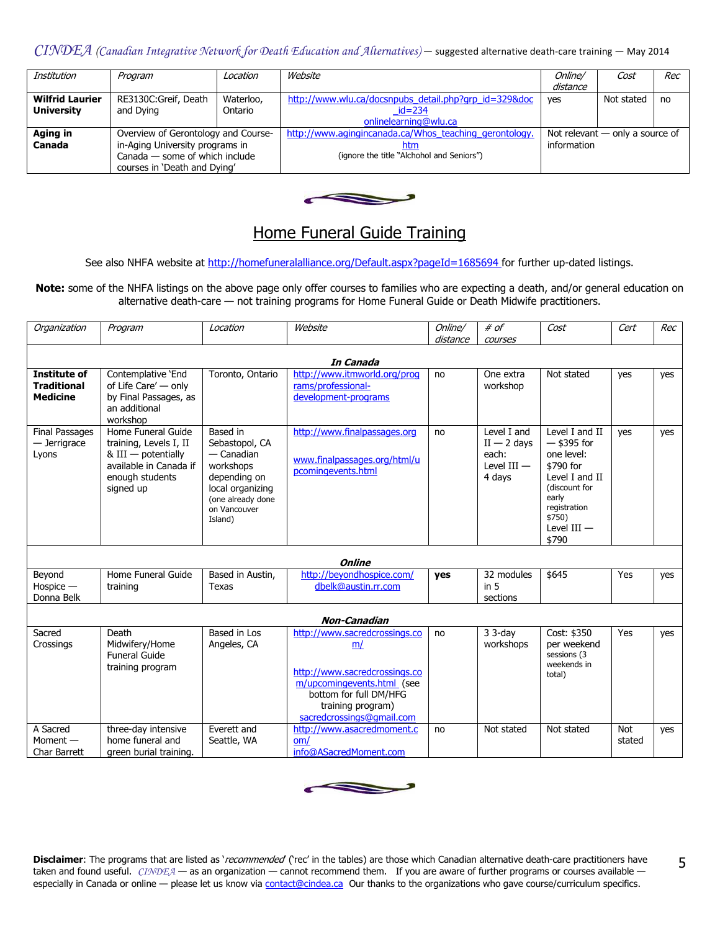| Institution                                 | Program                                                        | Location             | Website                                                                         | Online/<br>distance | Cost                              | Rec |
|---------------------------------------------|----------------------------------------------------------------|----------------------|---------------------------------------------------------------------------------|---------------------|-----------------------------------|-----|
| <b>Wilfrid Laurier</b><br><b>University</b> | RE3130C:Greif, Death<br>and Dying                              | Waterloo,<br>Ontario | http://www.wlu.ca/docsnpubs_detail.php?grp_id=329&doc<br>$id = 234$             | yes                 | Not stated                        | no  |
| Aging in                                    | Overview of Gerontology and Course-                            |                      | onlinelearning@wlu.ca<br>http://www.agingincanada.ca/Whos teaching gerontology. |                     | Not relevant $-$ only a source of |     |
| Canada                                      | in-Aging University programs in                                |                      | htm                                                                             | information         |                                   |     |
|                                             | Canada — some of which include<br>courses in 'Death and Dying' |                      | (ignore the title "Alchohol and Seniors")                                       |                     |                                   |     |



# Home Funeral Guide Training

See also NHFA website a[t http://homefuneralalliance.org/Default.aspx?pageId=1685694](http://homefuneralalliance.org/Default.aspx?pageId=1685694) for further up-dated listings.

Note: some of the NHFA listings on the above page only offer courses to families who are expecting a death, and/or general education on alternative death-care — not training programs for Home Funeral Guide or Death Midwife practitioners.

| Organization                                                 | Program                                                                                                                           | Location                                                                                                                                  | Website                                                                                                                                                                        | Online/<br>distance | # of<br>courses                                                  | Cost                                                                                                                                                       | Cert          | Rec |
|--------------------------------------------------------------|-----------------------------------------------------------------------------------------------------------------------------------|-------------------------------------------------------------------------------------------------------------------------------------------|--------------------------------------------------------------------------------------------------------------------------------------------------------------------------------|---------------------|------------------------------------------------------------------|------------------------------------------------------------------------------------------------------------------------------------------------------------|---------------|-----|
|                                                              |                                                                                                                                   |                                                                                                                                           |                                                                                                                                                                                |                     |                                                                  |                                                                                                                                                            |               |     |
| <b>Institute of</b><br><b>Traditional</b><br><b>Medicine</b> | Contemplative 'End<br>of Life Care' - only<br>by Final Passages, as<br>an additional<br>workshop                                  | Toronto, Ontario                                                                                                                          | In Canada<br>http://www.itmworld.org/prog<br>rams/professional-<br>development-programs                                                                                        | no                  | One extra<br>workshop                                            | Not stated                                                                                                                                                 | yes           | yes |
| <b>Final Passages</b><br>- Jerrigrace<br>Lyons               | Home Funeral Guide<br>training, Levels I, II<br>$&$ III $-$ potentially<br>available in Canada if<br>enough students<br>signed up | Based in<br>Sebastopol, CA<br>— Canadian<br>workshops<br>depending on<br>local organizing<br>(one already done<br>on Vancouver<br>Island) | http://www.finalpassages.org<br>www.finalpassages.org/html/u<br>pcomingevents.html                                                                                             | no                  | Level I and<br>$II - 2$ days<br>each:<br>Level $III -$<br>4 days | Level I and II<br>$-$ \$395 for<br>one level:<br>\$790 for<br>Level I and II<br>(discount for<br>early<br>registration<br>\$750)<br>Level $III -$<br>\$790 | yes           | yes |
|                                                              |                                                                                                                                   |                                                                                                                                           | <b>Online</b>                                                                                                                                                                  |                     |                                                                  |                                                                                                                                                            |               |     |
| Beyond<br>$H$ ospice $-$<br>Donna Belk                       | Home Funeral Guide<br>training                                                                                                    | Based in Austin,<br>Texas                                                                                                                 | http://beyondhospice.com/<br>dbelk@austin.rr.com                                                                                                                               | yes                 | 32 modules<br>in 5<br>sections                                   | \$645                                                                                                                                                      | Yes           | yes |
|                                                              |                                                                                                                                   |                                                                                                                                           | <b>Non-Canadian</b>                                                                                                                                                            |                     |                                                                  |                                                                                                                                                            |               |     |
| Sacred<br>Crossings                                          | Death<br>Midwifery/Home<br><b>Funeral Guide</b><br>training program                                                               | Based in Los<br>Angeles, CA                                                                                                               | http://www.sacredcrossings.co<br>m/<br>http://www.sacredcrossings.co<br>m/upcomingevents.html (see<br>bottom for full DM/HFG<br>training program)<br>sacredcrossings@gmail.com | no                  | $33-day$<br>workshops                                            | Cost: \$350<br>per weekend<br>sessions (3<br>weekends in<br>total)                                                                                         | Yes           | yes |
| A Sacred<br>Moment $-$<br><b>Char Barrett</b>                | three-day intensive<br>home funeral and<br>green burial training.                                                                 | Everett and<br>Seattle, WA                                                                                                                | http://www.asacredmoment.c<br>om/<br>info@ASacredMoment.com                                                                                                                    | no                  | Not stated                                                       | Not stated                                                                                                                                                 | Not<br>stated | yes |

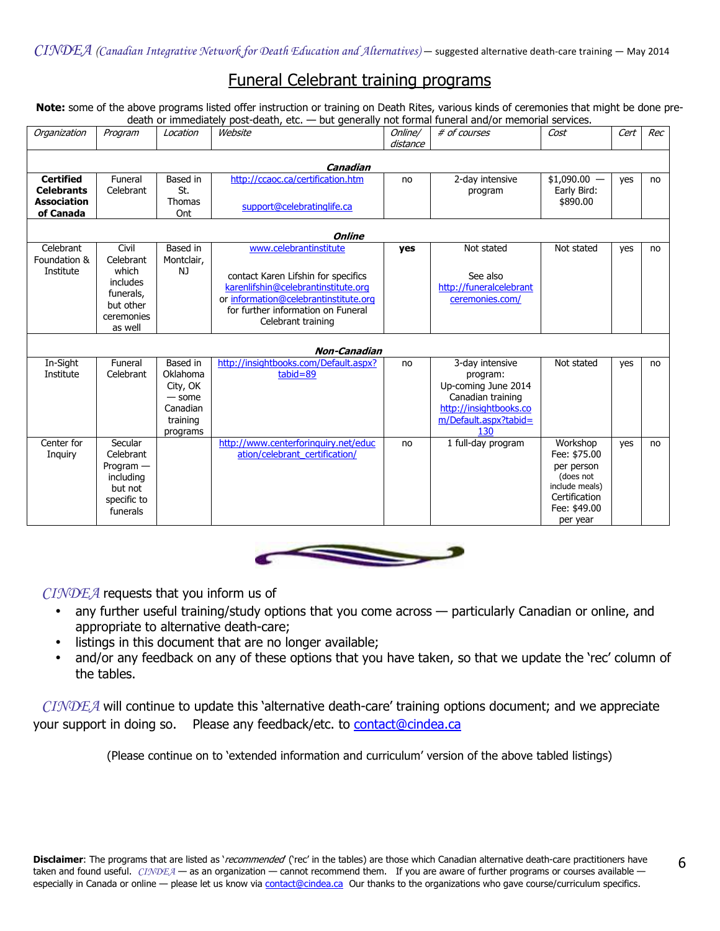# Funeral Celebrant training programs

Note: some of the above programs listed offer instruction or training on Death Rites, various kinds of ceremonies that might be done predeath or immediately post-death, etc. — but generally not formal funeral and/or memorial services.

| Organization              | Program            | Location               | Website                                                                     | Online/  | # of courses            | Cost           | Cert | Rec |
|---------------------------|--------------------|------------------------|-----------------------------------------------------------------------------|----------|-------------------------|----------------|------|-----|
|                           |                    |                        |                                                                             | distance |                         |                |      |     |
|                           |                    |                        | Canadian                                                                    |          |                         |                |      |     |
| <b>Certified</b>          | Funeral            | Based in               | http://ccaoc.ca/certification.htm                                           | no       | 2-day intensive         | $$1,090.00 -$  | yes  | no  |
| <b>Celebrants</b>         | Celebrant          | St.                    |                                                                             |          | program                 | Early Bird:    |      |     |
| <b>Association</b>        |                    | <b>Thomas</b>          |                                                                             |          |                         | \$890.00       |      |     |
| of Canada                 |                    | Ont                    | support@celebratinglife.ca                                                  |          |                         |                |      |     |
|                           |                    |                        |                                                                             |          |                         |                |      |     |
|                           |                    |                        | <b>Online</b>                                                               |          |                         |                |      |     |
| Celebrant<br>Foundation & | Civil<br>Celebrant | Based in<br>Montclair, | www.celebrantinstitute                                                      | yes      | Not stated              | Not stated     | yes  | no  |
| Institute                 | which              | NJ                     |                                                                             |          |                         |                |      |     |
|                           | includes           |                        | contact Karen Lifshin for specifics                                         |          | See also                |                |      |     |
|                           | funerals,          |                        | karenlifshin@celebrantinstitute.org                                         |          | http://funeralcelebrant |                |      |     |
|                           | but other          |                        | or information@celebrantinstitute.org<br>for further information on Funeral |          | ceremonies.com/         |                |      |     |
|                           | ceremonies         |                        | Celebrant training                                                          |          |                         |                |      |     |
|                           | as well            |                        |                                                                             |          |                         |                |      |     |
|                           |                    |                        | <b>Non-Canadian</b>                                                         |          |                         |                |      |     |
| In-Sight                  | Funeral            | Based in               | http://insightbooks.com/Default.aspx?                                       | no       | 3-day intensive         | Not stated     | yes  | no  |
| Institute                 | Celebrant          | Oklahoma               | $tabid = 89$                                                                |          | program:                |                |      |     |
|                           |                    | City, OK               |                                                                             |          | Up-coming June 2014     |                |      |     |
|                           |                    | $-$ some               |                                                                             |          | Canadian training       |                |      |     |
|                           |                    | Canadian               |                                                                             |          | http://insightbooks.co  |                |      |     |
|                           |                    | training               |                                                                             |          | m/Default.aspx?tabid=   |                |      |     |
| Center for                | Secular            | programs               | http://www.centerforinguiry.net/educ                                        |          | 130                     | Workshop       |      |     |
| Inquiry                   | Celebrant          |                        | ation/celebrant certification/                                              | no       | 1 full-day program      | Fee: \$75.00   | yes  | no  |
|                           | $Program -$        |                        |                                                                             |          |                         | per person     |      |     |
|                           | including          |                        |                                                                             |          |                         | (does not      |      |     |
|                           | but not            |                        |                                                                             |          |                         | include meals) |      |     |
|                           | specific to        |                        |                                                                             |          |                         | Certification  |      |     |
|                           | funerals           |                        |                                                                             |          |                         | Fee: \$49.00   |      |     |
|                           |                    |                        |                                                                             |          |                         | per year       |      |     |



 $CINDEA$  requests that you inform us of

- any further useful training/study options that you come across particularly Canadian or online, and appropriate to alternative death-care;
- listings in this document that are no longer available;
- and/or any feedback on any of these options that you have taken, so that we update the 'rec' column of the tables.

 $CINDEA$  will continue to update this 'alternative death-care' training options document; and we appreciate your support in doing so. Please any feedback/etc. to [contact@cindea.ca](mailto:contact@cindea.ca)

(Please continue on to 'extended information and curriculum' version of the above tabled listings)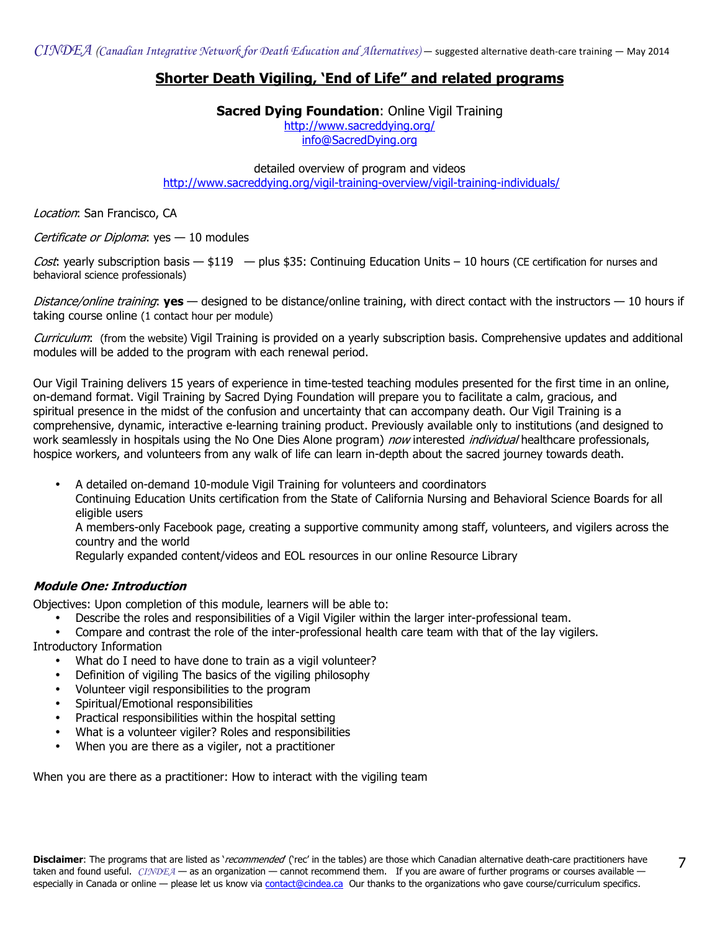## Shorter Death Vigiling, 'End of Life" and related programs

#### **Sacred Dying Foundation: Online Vigil Training**

<http://www.sacreddying.org/> [info@SacredDying.org](mailto:info@SacredDying.org)

detailed overview of program and videos <http://www.sacreddying.org/vigil-training-overview/vigil-training-individuals/>

Location: San Francisco, CA

Certificate or Diploma: yes — 10 modules

Cost: yearly subscription basis  $-$  \$119  $-$  plus \$35: Continuing Education Units – 10 hours (CE certification for nurses and behavioral science professionals)

Distance/online training: yes — designed to be distance/online training, with direct contact with the instructors — 10 hours if taking course online (1 contact hour per module)

Curriculum: (from the website) Vigil Training is provided on a yearly subscription basis. Comprehensive updates and additional modules will be added to the program with each renewal period.

Our Vigil Training delivers 15 years of experience in time-tested teaching modules presented for the first time in an online, on-demand format. Vigil Training by Sacred Dying Foundation will prepare you to facilitate a calm, gracious, and spiritual presence in the midst of the confusion and uncertainty that can accompany death. Our Vigil Training is a comprehensive, dynamic, interactive e-learning training product. Previously available only to institutions (and designed to work seamlessly in hospitals using the No One Dies Alone program) now interested *individual* healthcare professionals, hospice workers, and volunteers from any walk of life can learn in-depth about the sacred journey towards death.

• A detailed on-demand 10-module Vigil Training for volunteers and coordinators

Continuing Education Units certification from the State of California Nursing and Behavioral Science Boards for all eligible users

A members-only Facebook page, creating a supportive community among staff, volunteers, and vigilers across the country and the world

Regularly expanded content/videos and EOL resources in our online Resource Library

## Module One: Introduction

Objectives: Upon completion of this module, learners will be able to:

- Describe the roles and responsibilities of a Vigil Vigiler within the larger inter-professional team.
- Compare and contrast the role of the inter-professional health care team with that of the lay vigilers. Introductory Information
	- What do I need to have done to train as a vigil volunteer?
	- Definition of vigiling The basics of the vigiling philosophy
	- Volunteer vigil responsibilities to the program
	- Spiritual/Emotional responsibilities
	- Practical responsibilities within the hospital setting
	- What is a volunteer vigiler? Roles and responsibilities
	- When you are there as a vigiler, not a practitioner

When you are there as a practitioner: How to interact with the vigiling team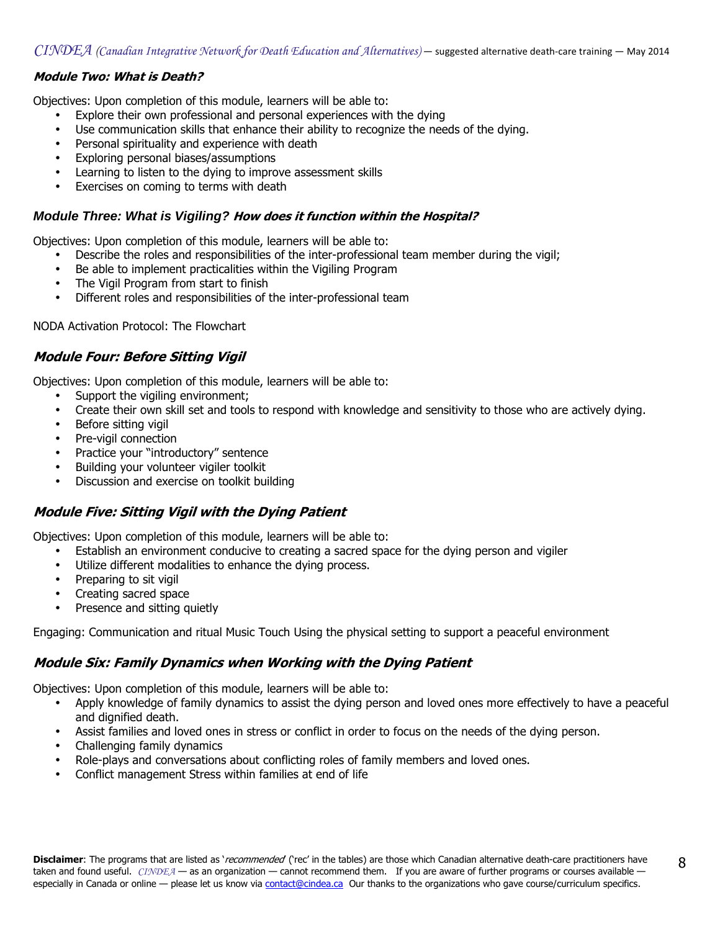## Module Two: What is Death?

Objectives: Upon completion of this module, learners will be able to:

- Explore their own professional and personal experiences with the dying
- Use communication skills that enhance their ability to recognize the needs of the dying.
- Personal spirituality and experience with death
- Exploring personal biases/assumptions
- Learning to listen to the dying to improve assessment skills
- Exercises on coming to terms with death

#### **Module Three: What is Vigiling?** How does it function within the Hospital?

Objectives: Upon completion of this module, learners will be able to:

- Describe the roles and responsibilities of the inter-professional team member during the vigil;
- Be able to implement practicalities within the Vigiling Program
- The Vigil Program from start to finish
- Different roles and responsibilities of the inter-professional team

NODA Activation Protocol: The Flowchart

## Module Four: Before Sitting Vigil

Objectives: Upon completion of this module, learners will be able to:

- Support the vigiling environment;
- Create their own skill set and tools to respond with knowledge and sensitivity to those who are actively dying.
- Before sitting vigil
- Pre-vigil connection
- Practice your "introductory" sentence
- Building your volunteer vigiler toolkit
- Discussion and exercise on toolkit building

## Module Five: Sitting Vigil with the Dying Patient

Objectives: Upon completion of this module, learners will be able to:

- Establish an environment conducive to creating a sacred space for the dying person and vigiler
- Utilize different modalities to enhance the dying process.
- Preparing to sit vigil
- Creating sacred space
- Presence and sitting quietly

Engaging: Communication and ritual Music Touch Using the physical setting to support a peaceful environment

## Module Six: Family Dynamics when Working with the Dying Patient

Objectives: Upon completion of this module, learners will be able to:

- Apply knowledge of family dynamics to assist the dying person and loved ones more effectively to have a peaceful and dignified death.
- Assist families and loved ones in stress or conflict in order to focus on the needs of the dying person.
- Challenging family dynamics
- Role-plays and conversations about conflicting roles of family members and loved ones.
- Conflict management Stress within families at end of life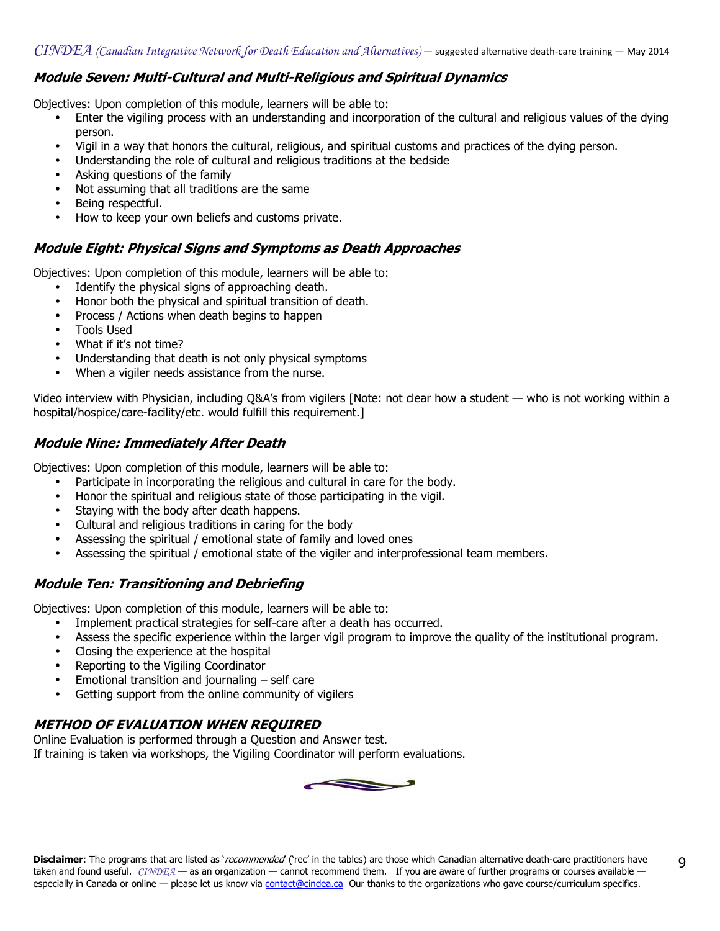## Module Seven: Multi-Cultural and Multi-Religious and Spiritual Dynamics

Objectives: Upon completion of this module, learners will be able to:

- Enter the vigiling process with an understanding and incorporation of the cultural and religious values of the dying person.
- Vigil in a way that honors the cultural, religious, and spiritual customs and practices of the dying person.
- Understanding the role of cultural and religious traditions at the bedside
- Asking questions of the family
- Not assuming that all traditions are the same
- Being respectful.
- How to keep your own beliefs and customs private.

## Module Eight: Physical Signs and Symptoms as Death Approaches

Objectives: Upon completion of this module, learners will be able to:

- Identify the physical signs of approaching death.
- Honor both the physical and spiritual transition of death.
- Process / Actions when death begins to happen
- Tools Used
- What if it's not time?
- Understanding that death is not only physical symptoms
- When a vigiler needs assistance from the nurse.

Video interview with Physician, including Q&A's from vigilers [Note: not clear how a student — who is not working within a hospital/hospice/care-facility/etc. would fulfill this requirement.]

## Module Nine: Immediately After Death

Objectives: Upon completion of this module, learners will be able to:

- Participate in incorporating the religious and cultural in care for the body.
- Honor the spiritual and religious state of those participating in the vigil.
- Staying with the body after death happens.
- Cultural and religious traditions in caring for the body
- Assessing the spiritual / emotional state of family and loved ones
- Assessing the spiritual / emotional state of the vigiler and interprofessional team members.

## Module Ten: Transitioning and Debriefing

Objectives: Upon completion of this module, learners will be able to:

- Implement practical strategies for self-care after a death has occurred.
- Assess the specific experience within the larger vigil program to improve the quality of the institutional program.
- Closing the experience at the hospital
- Reporting to the Vigiling Coordinator
- Emotional transition and journaling self care
- Getting support from the online community of vigilers

## METHOD OF EVALUATION WHEN REQUIRED

Online Evaluation is performed through a Question and Answer test. If training is taken via workshops, the Vigiling Coordinator will perform evaluations.

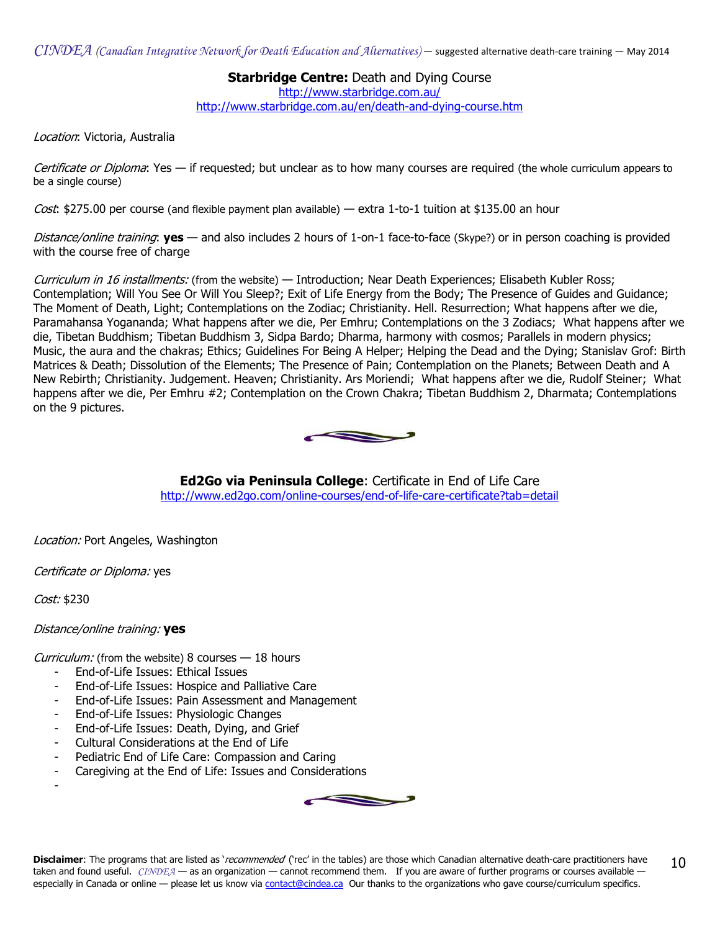**Starbridge Centre: Death and Dying Course** 

<http://www.starbridge.com.au/>

<http://www.starbridge.com.au/en/death-and-dying-course.htm>

Location: Victoria, Australia

Certificate or Diploma: Yes — if requested; but unclear as to how many courses are required (the whole curriculum appears to be a single course)

*Cost*: \$275.00 per course (and flexible payment plan available) — extra 1-to-1 tuition at \$135.00 an hour

Distance/online training: yes - and also includes 2 hours of 1-on-1 face-to-face (Skype?) or in person coaching is provided with the course free of charge

Curriculum in 16 installments: (from the website) — Introduction; Near Death Experiences; Elisabeth Kubler Ross; Contemplation; Will You See Or Will You Sleep?; Exit of Life Energy from the Body; The Presence of Guides and Guidance; The Moment of Death, Light; Contemplations on the Zodiac; Christianity. Hell. Resurrection; What happens after we die, Paramahansa Yogananda; What happens after we die, Per Emhru; Contemplations on the 3 Zodiacs; What happens after we die, Tibetan Buddhism; Tibetan Buddhism 3, Sidpa Bardo; Dharma, harmony with cosmos; Parallels in modern physics; Music, the aura and the chakras; Ethics; Guidelines For Being A Helper; Helping the Dead and the Dying; Stanislav Grof: Birth Matrices & Death; Dissolution of the Elements; The Presence of Pain; Contemplation on the Planets; Between Death and A New Rebirth; Christianity. Judgement. Heaven; Christianity. Ars Moriendi; What happens after we die, Rudolf Steiner; What happens after we die, Per Emhru #2; Contemplation on the Crown Chakra; Tibetan Buddhism 2, Dharmata; Contemplations on the 9 pictures.



Ed2Go via Peninsula College: Certificate in End of Life Care <http://www.ed2go.com/online-courses/end-of-life-care-certificate?tab=detail>

Location: Port Angeles, Washington

Certificate or Diploma: yes

Cost: \$230

-

## Distance/online training: yes

Curriculum: (from the website) 8 courses  $-18$  hours

- End-of-Life Issues: Ethical Issues
- End-of-Life Issues: Hospice and Palliative Care
- End-of-Life Issues: Pain Assessment and Management
- End-of-Life Issues: Physiologic Changes
- End-of-Life Issues: Death, Dying, and Grief
- Cultural Considerations at the End of Life
- Pediatric End of Life Care: Compassion and Caring
- Caregiving at the End of Life: Issues and Considerations

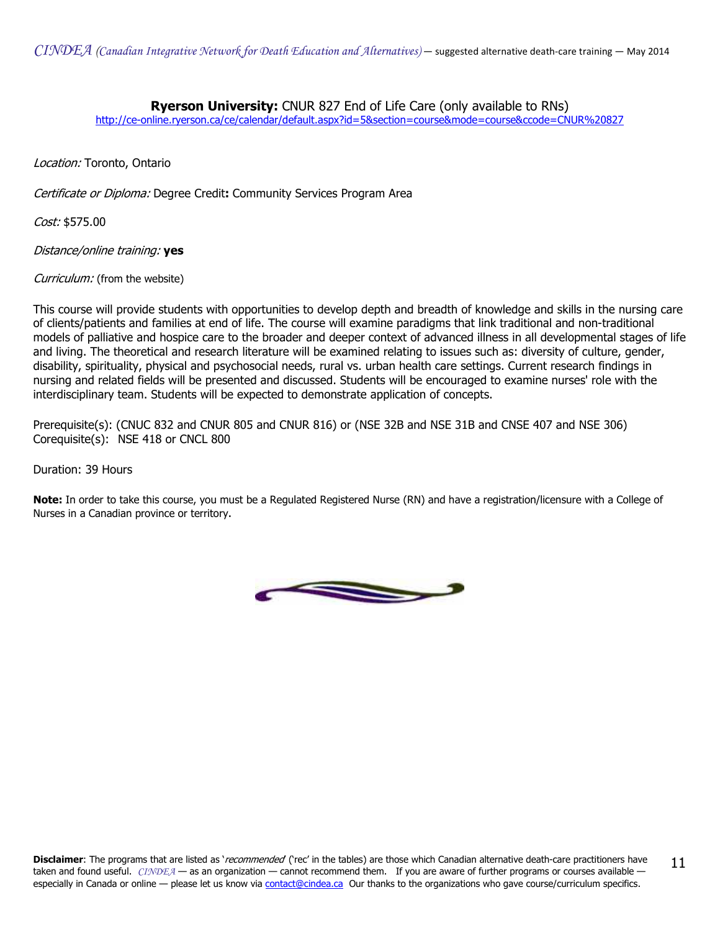## **Ryerson University:** CNUR 827 End of Life Care (only available to RNs)

[http://ce-online.ryerson.ca/ce/calendar/default.aspx?id=5&section=course&mode=course&ccode=CNUR%20827](http://ce-online.ryerson.ca/ce/calendar/default.aspx?id=5§ion=course&mode=course&ccode=CNUR%20827)

Location: Toronto, Ontario

Certificate or Diploma: Degree Credit: Community Services Program Area

Cost: \$575.00

Distance/online training: yes

Curriculum: (from the website)

This course will provide students with opportunities to develop depth and breadth of knowledge and skills in the nursing care of clients/patients and families at end of life. The course will examine paradigms that link traditional and non-traditional models of palliative and hospice care to the broader and deeper context of advanced illness in all developmental stages of life and living. The theoretical and research literature will be examined relating to issues such as: diversity of culture, gender, disability, spirituality, physical and psychosocial needs, rural vs. urban health care settings. Current research findings in nursing and related fields will be presented and discussed. Students will be encouraged to examine nurses' role with the interdisciplinary team. Students will be expected to demonstrate application of concepts.

Prerequisite(s): (CNUC 832 and CNUR 805 and CNUR 816) or (NSE 32B and NSE 31B and CNSE 407 and NSE 306) Corequisite(s): NSE 418 or CNCL 800

Duration: 39 Hours

Note: In order to take this course, you must be a Regulated Registered Nurse (RN) and have a registration/licensure with a College of Nurses in a Canadian province or territory.

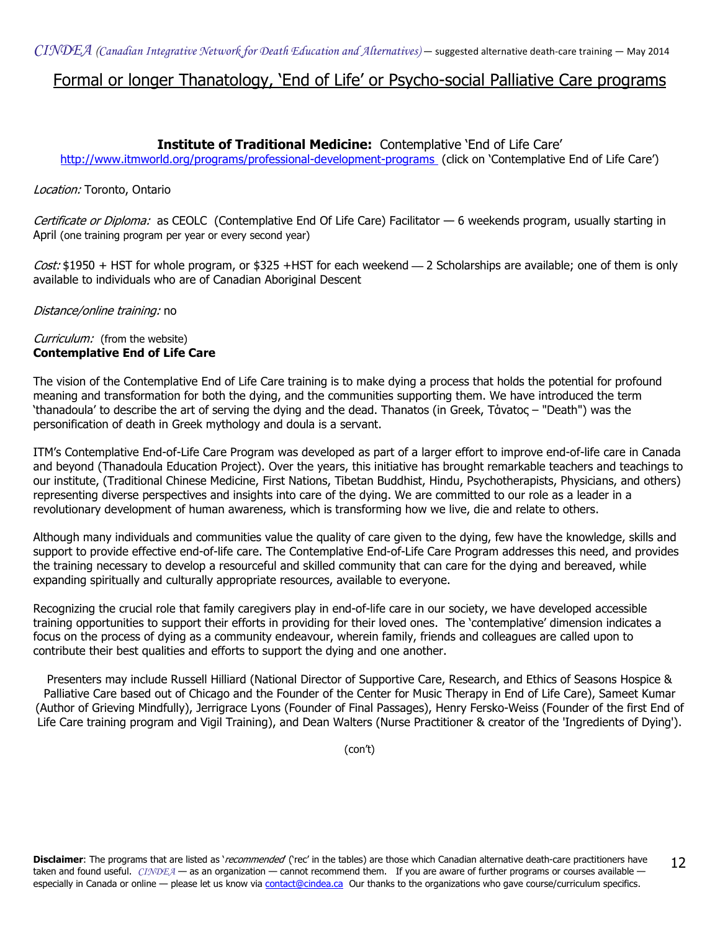## Formal or longer Thanatology, 'End of Life' or Psycho-social Palliative Care programs

## Institute of Traditional Medicine: Contemplative 'End of Life Care'

<http://www.itmworld.org/programs/professional-development-programs>(click on 'Contemplative End of Life Care')

#### Location: Toronto, Ontario

Certificate or Diploma: as CEOLC (Contemplative End Of Life Care) Facilitator — 6 weekends program, usually starting in April (one training program per year or every second year)

Cost: \$1950 + HST for whole program, or \$325 +HST for each weekend **—** 2 Scholarships are available; one of them is only available to individuals who are of Canadian Aboriginal Descent

Distance/online training: no

#### Curriculum: (from the website) Contemplative End of Life Care

The vision of the Contemplative End of Life Care training is to make dying a process that holds the potential for profound meaning and transformation for both the dying, and the communities supporting them. We have introduced the term 'thanadoula' to describe the art of serving the dying and the dead. Thanatos (in Greek, Tάνatος – "Death") was the personification of death in Greek mythology and doula is a servant.

ITM's Contemplative End-of-Life Care Program was developed as part of a larger effort to improve end-of-life care in Canada and beyond (Thanadoula Education Project). Over the years, this initiative has brought remarkable teachers and teachings to our institute, (Traditional Chinese Medicine, First Nations, Tibetan Buddhist, Hindu, Psychotherapists, Physicians, and others) representing diverse perspectives and insights into care of the dying. We are committed to our role as a leader in a revolutionary development of human awareness, which is transforming how we live, die and relate to others.

Although many individuals and communities value the quality of care given to the dying, few have the knowledge, skills and support to provide effective end-of-life care. The Contemplative End-of-Life Care Program addresses this need, and provides the training necessary to develop a resourceful and skilled community that can care for the dying and bereaved, while expanding spiritually and culturally appropriate resources, available to everyone.

Recognizing the crucial role that family caregivers play in end-of-life care in our society, we have developed accessible training opportunities to support their efforts in providing for their loved ones. The 'contemplative' dimension indicates a focus on the process of dying as a community endeavour, wherein family, friends and colleagues are called upon to contribute their best qualities and efforts to support the dying and one another.

Presenters may include Russell Hilliard (National Director of Supportive Care, Research, and Ethics of Seasons Hospice & Palliative Care based out of Chicago and the Founder of the Center for Music Therapy in End of Life Care), Sameet Kumar (Author of Grieving Mindfully), Jerrigrace Lyons (Founder of Final Passages), Henry Fersko-Weiss (Founder of the first End of Life Care training program and Vigil Training), and Dean Walters (Nurse Practitioner & creator of the 'Ingredients of Dying').

(con't)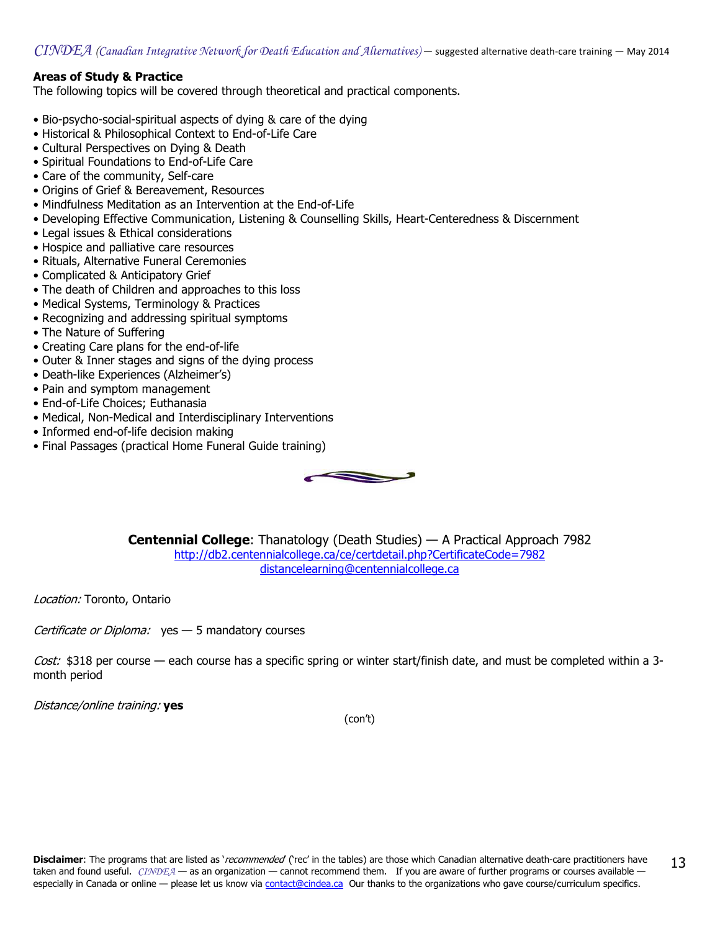## Areas of Study & Practice

The following topics will be covered through theoretical and practical components.

- Bio-psycho-social-spiritual aspects of dying & care of the dying
- Historical & Philosophical Context to End-of-Life Care
- Cultural Perspectives on Dying & Death
- Spiritual Foundations to End-of-Life Care
- Care of the community, Self-care
- Origins of Grief & Bereavement, Resources
- Mindfulness Meditation as an Intervention at the End-of-Life
- Developing Effective Communication, Listening & Counselling Skills, Heart-Centeredness & Discernment
- Legal issues & Ethical considerations
- Hospice and palliative care resources
- Rituals, Alternative Funeral Ceremonies
- Complicated & Anticipatory Grief
- The death of Children and approaches to this loss
- Medical Systems, Terminology & Practices
- Recognizing and addressing spiritual symptoms
- The Nature of Suffering
- Creating Care plans for the end-of-life
- Outer & Inner stages and signs of the dying process
- Death-like Experiences (Alzheimer's)
- Pain and symptom management
- End-of-Life Choices; Euthanasia
- Medical, Non-Medical and Interdisciplinary Interventions
- Informed end-of-life decision making
- Final Passages (practical Home Funeral Guide training)



Centennial College: Thanatology (Death Studies) — A Practical Approach 7982 <http://db2.centennialcollege.ca/ce/certdetail.php?CertificateCode=7982> [distancelearning@centennialcollege.ca](mailto:distancelearning@centennialcollege.ca)

Location: Toronto, Ontario

Certificate or Diploma:  $yes - 5$  mandatory courses

Cost: \$318 per course — each course has a specific spring or winter start/finish date, and must be completed within a 3month period

Distance/online training: yes

(con't)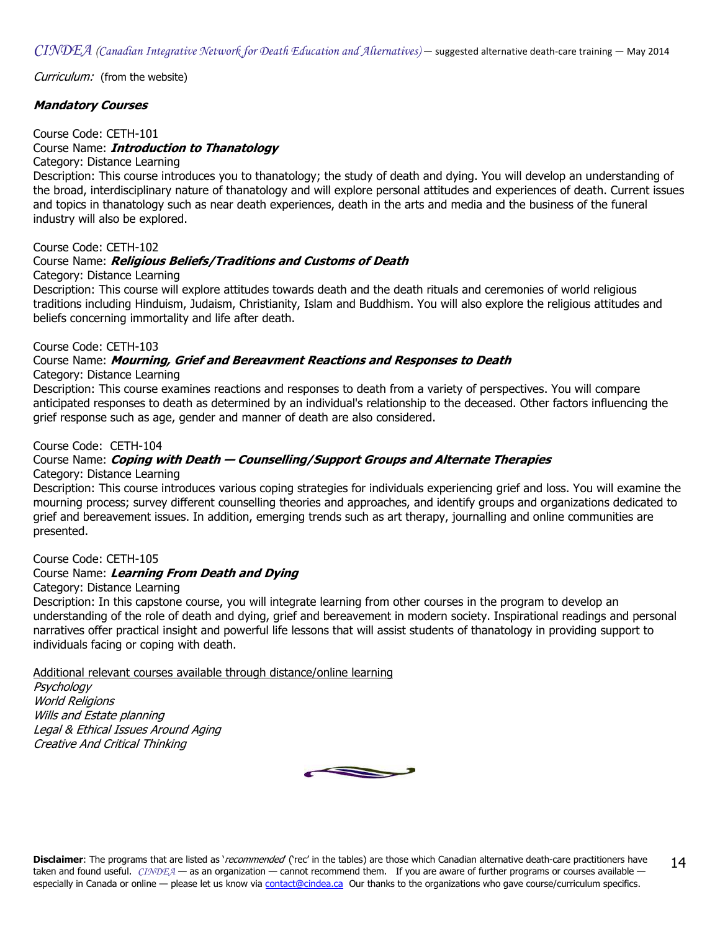Curriculum: (from the website)

## Mandatory Courses

#### Course Code: CETH-101

## Course Name: *Introduction to Thanatology*

Category: Distance Learning

Description: This course introduces you to thanatology; the study of death and dying. You will develop an understanding of the broad, interdisciplinary nature of thanatology and will explore personal attitudes and experiences of death. Current issues and topics in thanatology such as near death experiences, death in the arts and media and the business of the funeral industry will also be explored.

Course Code: CETH-102

#### Course Name: *Religious Beliefs/Traditions and Customs of Death*

#### Category: Distance Learning

Description: This course will explore attitudes towards death and the death rituals and ceremonies of world religious traditions including Hinduism, Judaism, Christianity, Islam and Buddhism. You will also explore the religious attitudes and beliefs concerning immortality and life after death.

#### Course Code: CETH-103

#### Course Name: Mourning, Grief and Bereavment Reactions and Responses to Death

Category: Distance Learning

Description: This course examines reactions and responses to death from a variety of perspectives. You will compare anticipated responses to death as determined by an individual's relationship to the deceased. Other factors influencing the grief response such as age, gender and manner of death are also considered.

#### Course Code: CETH-104

## Course Name: Coping with Death - Counselling/Support Groups and Alternate Therapies

Category: Distance Learning

Description: This course introduces various coping strategies for individuals experiencing grief and loss. You will examine the mourning process; survey different counselling theories and approaches, and identify groups and organizations dedicated to grief and bereavement issues. In addition, emerging trends such as art therapy, journalling and online communities are presented.

#### Course Code: CETH-105

## Course Name: Learning From Death and Dying

#### Category: Distance Learning

Description: In this capstone course, you will integrate learning from other courses in the program to develop an understanding of the role of death and dying, grief and bereavement in modern society. Inspirational readings and personal narratives offer practical insight and powerful life lessons that will assist students of thanatology in providing support to individuals facing or coping with death.

Additional relevant courses available through distance/online learning

**Psychology** World Religions Wills and Estate planning Legal & Ethical Issues Around Aging Creative And Critical Thinking

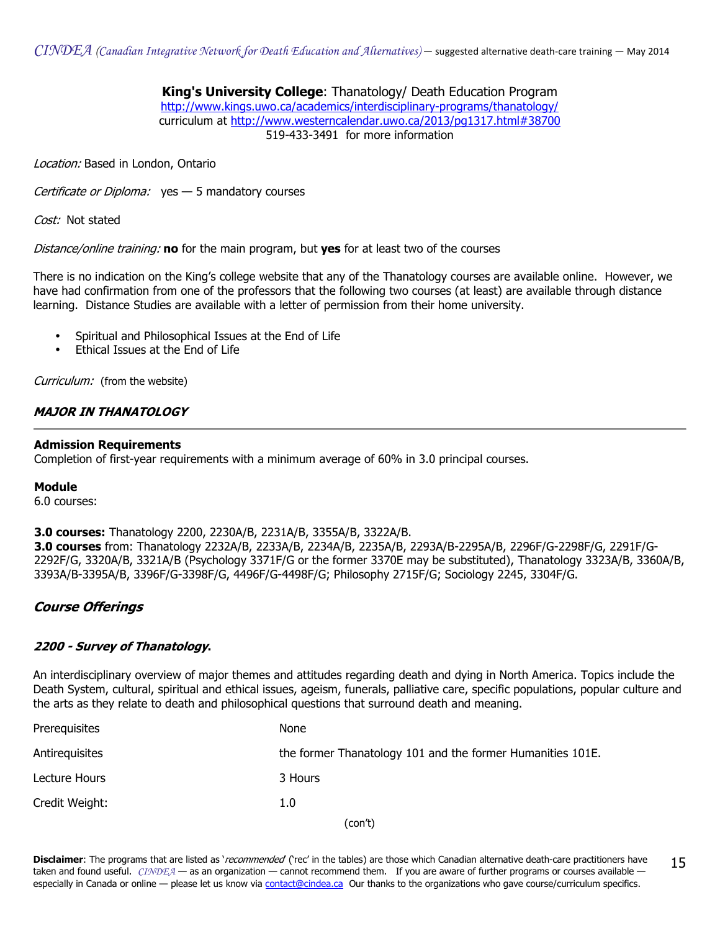$CINDEA$  (Canadian Integrative Network for Death Education and Alternatives) — suggested alternative death-care training — May 2014

#### King's University College: Thanatology/ Death Education Program <http://www.kings.uwo.ca/academics/interdisciplinary-programs/thanatology/> curriculum at<http://www.westerncalendar.uwo.ca/2013/pg1317.html#38700> 519-433-3491 for more information

Location: Based in London, Ontario

Certificate or Diploma:  $yes - 5$  mandatory courses

Cost: Not stated

Distance/online training: no for the main program, but yes for at least two of the courses

There is no indication on the King's college website that any of the Thanatology courses are available online. However, we have had confirmation from one of the professors that the following two courses (at least) are available through distance learning. Distance Studies are available with a letter of permission from their home university.

- Spiritual and Philosophical Issues at the End of Life
- Ethical Issues at the End of Life

Curriculum: (from the website)

#### MAJOR IN THANATOLOGY

#### Admission Requirements

Completion of first-year requirements with a minimum average of 60% in 3.0 principal courses.

#### Module

6.0 courses:

#### 3.0 courses: Thanatology 2200, 2230A/B, 2231A/B, 3355A/B, 3322A/B.

3.0 courses from: Thanatology 2232A/B, 2233A/B, 2234A/B, 2235A/B, 2293A/B-2295A/B, 2296F/G-2298F/G, 2291F/G-2292F/G, 3320A/B, 3321A/B (Psychology 3371F/G or the former 3370E may be substituted), Thanatology 3323A/B, 3360A/B, 3393A/B-3395A/B, 3396F/G-3398F/G, 4496F/G-4498F/G; Philosophy 2715F/G; Sociology 2245, 3304F/G.

## Course Offerings

#### 2200 - Survey of Thanatology.

An interdisciplinary overview of major themes and attitudes regarding death and dying in North America. Topics include the Death System, cultural, spiritual and ethical issues, ageism, funerals, palliative care, specific populations, popular culture and the arts as they relate to death and philosophical questions that surround death and meaning.

| Prerequisites  | <b>None</b>                                                |
|----------------|------------------------------------------------------------|
| Antirequisites | the former Thanatology 101 and the former Humanities 101E. |
| Lecture Hours  | 3 Hours                                                    |
| Credit Weight: | 1.0                                                        |
|                | (con't)                                                    |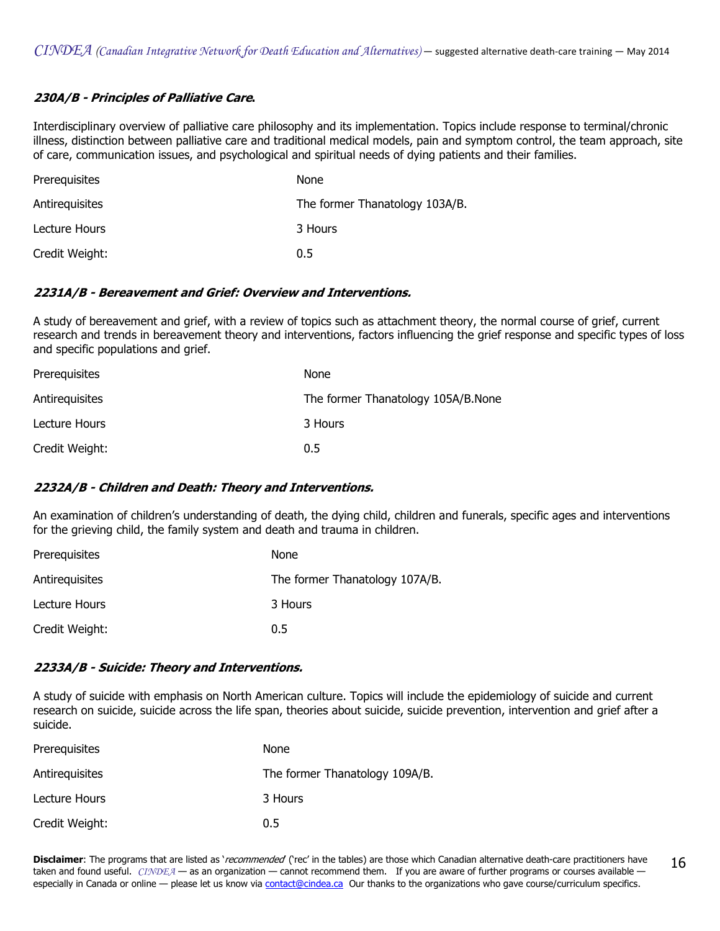## 230A/B - Principles of Palliative Care.

Interdisciplinary overview of palliative care philosophy and its implementation. Topics include response to terminal/chronic illness, distinction between palliative care and traditional medical models, pain and symptom control, the team approach, site of care, communication issues, and psychological and spiritual needs of dying patients and their families.

| Prerequisites  | None                           |
|----------------|--------------------------------|
| Antirequisites | The former Thanatology 103A/B. |
| Lecture Hours  | 3 Hours                        |
| Credit Weight: | 0.5                            |

#### 2231A/B - Bereavement and Grief: Overview and Interventions.

A study of bereavement and grief, with a review of topics such as attachment theory, the normal course of grief, current research and trends in bereavement theory and interventions, factors influencing the grief response and specific types of loss and specific populations and grief.

| Prerequisites  | <b>None</b>                        |
|----------------|------------------------------------|
| Antirequisites | The former Thanatology 105A/B.None |
| Lecture Hours  | 3 Hours                            |
| Credit Weight: | 0.5                                |

## 2232A/B - Children and Death: Theory and Interventions.

An examination of children's understanding of death, the dying child, children and funerals, specific ages and interventions for the grieving child, the family system and death and trauma in children.

| Prerequisites  | None                           |
|----------------|--------------------------------|
| Antirequisites | The former Thanatology 107A/B. |
| Lecture Hours  | 3 Hours                        |
| Credit Weight: | 0.5                            |

#### 2233A/B - Suicide: Theory and Interventions.

A study of suicide with emphasis on North American culture. Topics will include the epidemiology of suicide and current research on suicide, suicide across the life span, theories about suicide, suicide prevention, intervention and grief after a suicide.

| Prerequisites  | <b>None</b>                    |
|----------------|--------------------------------|
| Antirequisites | The former Thanatology 109A/B. |
| Lecture Hours  | 3 Hours                        |
| Credit Weight: | 0.5                            |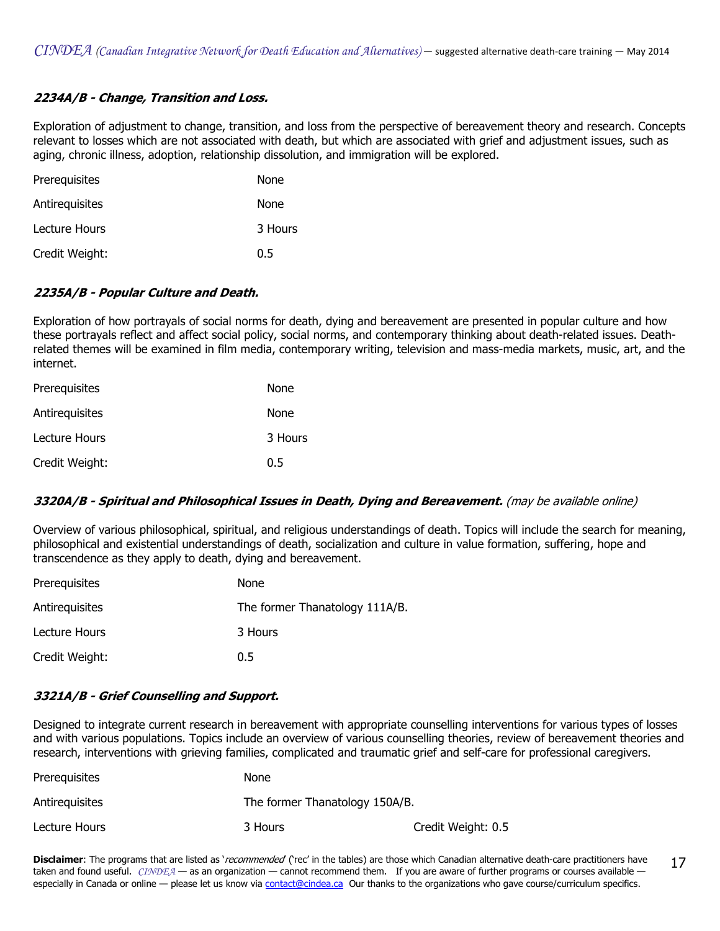## 2234A/B - Change, Transition and Loss.

Exploration of adjustment to change, transition, and loss from the perspective of bereavement theory and research. Concepts relevant to losses which are not associated with death, but which are associated with grief and adjustment issues, such as aging, chronic illness, adoption, relationship dissolution, and immigration will be explored.

| Prerequisites  | None    |
|----------------|---------|
| Antirequisites | None    |
| Lecture Hours  | 3 Hours |
| Credit Weight: | 0.5     |

## 2235A/B - Popular Culture and Death.

Exploration of how portrayals of social norms for death, dying and bereavement are presented in popular culture and how these portrayals reflect and affect social policy, social norms, and contemporary thinking about death-related issues. Deathrelated themes will be examined in film media, contemporary writing, television and mass-media markets, music, art, and the internet.

| Prerequisites  | None    |
|----------------|---------|
| Antirequisites | None    |
| Lecture Hours  | 3 Hours |
| Credit Weight: | 0.5     |

## 3320A/B - Spiritual and Philosophical Issues in Death, Dying and Bereavement. (may be available online)

Overview of various philosophical, spiritual, and religious understandings of death. Topics will include the search for meaning, philosophical and existential understandings of death, socialization and culture in value formation, suffering, hope and transcendence as they apply to death, dying and bereavement.

| Prerequisites  | None                           |
|----------------|--------------------------------|
| Antirequisites | The former Thanatology 111A/B. |
| Lecture Hours  | 3 Hours                        |
| Credit Weight: | 0.5                            |

## 3321A/B - Grief Counselling and Support.

Designed to integrate current research in bereavement with appropriate counselling interventions for various types of losses and with various populations. Topics include an overview of various counselling theories, review of bereavement theories and research, interventions with grieving families, complicated and traumatic grief and self-care for professional caregivers.

| Prerequisites  | None                           |                    |
|----------------|--------------------------------|--------------------|
| Antirequisites | The former Thanatology 150A/B. |                    |
| Lecture Hours  | 3 Hours                        | Credit Weight: 0.5 |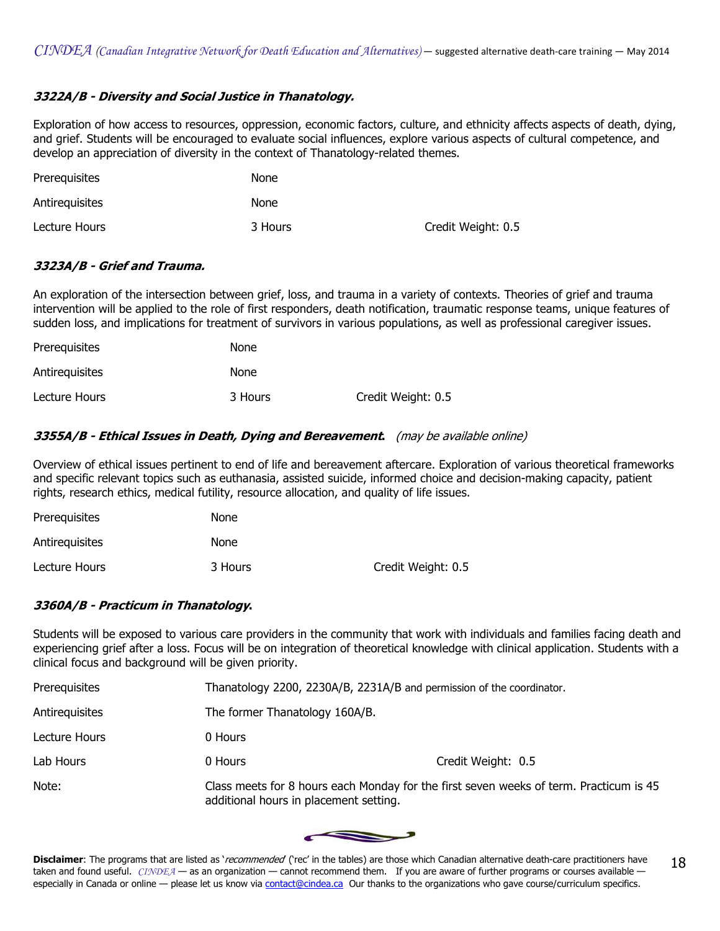## 3322A/B - Diversity and Social Justice in Thanatology.

Exploration of how access to resources, oppression, economic factors, culture, and ethnicity affects aspects of death, dying, and grief. Students will be encouraged to evaluate social influences, explore various aspects of cultural competence, and develop an appreciation of diversity in the context of Thanatology-related themes.

| Prerequisites  | None    |                    |
|----------------|---------|--------------------|
| Antirequisites | None    |                    |
| Lecture Hours  | 3 Hours | Credit Weight: 0.5 |

#### 3323A/B - Grief and Trauma.

An exploration of the intersection between grief, loss, and trauma in a variety of contexts. Theories of grief and trauma intervention will be applied to the role of first responders, death notification, traumatic response teams, unique features of sudden loss, and implications for treatment of survivors in various populations, as well as professional caregiver issues.

| Prerequisites  | <b>None</b> |                    |
|----------------|-------------|--------------------|
| Antirequisites | None        |                    |
| Lecture Hours  | 3 Hours     | Credit Weight: 0.5 |

#### 3355A/B - Ethical Issues in Death, Dying and Bereavement. (may be available online)

Overview of ethical issues pertinent to end of life and bereavement aftercare. Exploration of various theoretical frameworks and specific relevant topics such as euthanasia, assisted suicide, informed choice and decision-making capacity, patient rights, research ethics, medical futility, resource allocation, and quality of life issues.

| Prerequisites  | None    |                    |
|----------------|---------|--------------------|
| Antirequisites | None    |                    |
| Lecture Hours  | 3 Hours | Credit Weight: 0.5 |

## 3360A/B - Practicum in Thanatology.

Students will be exposed to various care providers in the community that work with individuals and families facing death and experiencing grief after a loss. Focus will be on integration of theoretical knowledge with clinical application. Students with a clinical focus and background will be given priority.

| Prerequisites  | Thanatology 2200, 2230A/B, 2231A/B and permission of the coordinator.                                                            |                    |
|----------------|----------------------------------------------------------------------------------------------------------------------------------|--------------------|
| Antirequisites | The former Thanatology 160A/B.                                                                                                   |                    |
| Lecture Hours  | 0 Hours                                                                                                                          |                    |
| Lab Hours      | 0 Hours                                                                                                                          | Credit Weight: 0.5 |
| Note:          | Class meets for 8 hours each Monday for the first seven weeks of term. Practicum is 45<br>additional hours in placement setting. |                    |

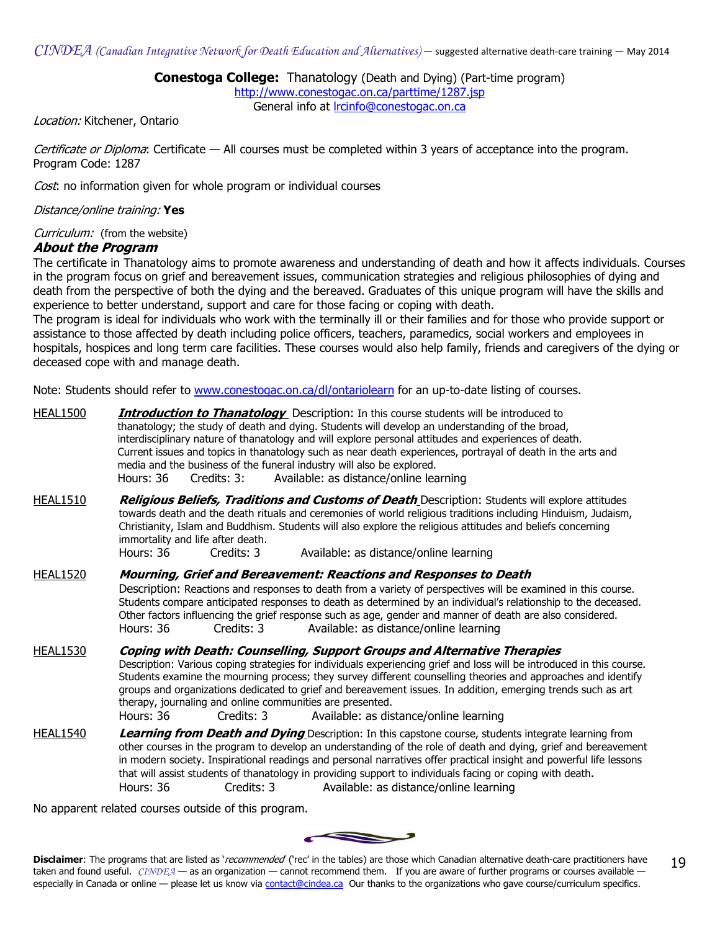## Conestoga College: Thanatology (Death and Dying) (Part-time program)

<http://www.conestogac.on.ca/parttime/1287.jsp> General info at [lrcinfo@conestogac.on.ca](mailto:lrcinfo@conestogac.on.ca)

Location: Kitchener, Ontario

Certificate or Diploma: Certificate — All courses must be completed within 3 years of acceptance into the program. Program Code: 1287

Cost: no information given for whole program or individual courses

#### Distance/online training: Yes

Curriculum: (from the website)

#### About the Program

The certificate in Thanatology aims to promote awareness and understanding of death and how it affects individuals. Courses in the program focus on grief and bereavement issues, communication strategies and religious philosophies of dying and death from the perspective of both the dying and the bereaved. Graduates of this unique program will have the skills and experience to better understand, support and care for those facing or coping with death.

The program is ideal for individuals who work with the terminally ill or their families and for those who provide support or assistance to those affected by death including police officers, teachers, paramedics, social workers and employees in hospitals, hospices and long term care facilities. These courses would also help family, friends and caregivers of the dying or deceased cope with and manage death.

Note: Students should refer t[o www.conestogac.on.ca/dl/ontariolearn](http//www.conestogac.on.ca/dl/ontariolearn) for an up-to-date listing of courses.

HEAL1500 **Introduction to Thanatology** Description: In this course students will be introduced to thanatology; the study of death and dying. Students will develop an understanding of the broad, interdisciplinary nature of thanatology and will explore personal attitudes and experiences of death. Current issues and topics in thanatology such as near death experiences, portrayal of death in the arts and media and the business of the funeral industry will also be explored. Hours: 36 Credits: 3: Available: as distance/online learning HEAL1510 **Religious Beliefs, Traditions and Customs of Death** Description: Students will explore attitudes towards death and the death rituals and ceremonies of world religious traditions including Hinduism, Judaism, Christianity, Islam and Buddhism. Students will also explore the religious attitudes and beliefs concerning immortality and life after death. Hours: 36 Credits: 3 Available: as distance/online learning HEAL1520 Mourning, Grief and Bereavement: Reactions and Responses to Death Description: Reactions and responses to death from a variety of perspectives will be examined in this course. Students compare anticipated responses to death as determined by an individual's relationship to the deceased. Other factors influencing the grief response such as age, gender and manner of death are also considered. Hours: 36 Credits: 3 Available: as distance/online learning HEAL1530 Coping with Death: Counselling, Support Groups and Alternative Therapies Description: Various coping strategies for individuals experiencing grief and loss will be introduced in this course. Students examine the mourning process; they survey different counselling theories and approaches and identify groups and organizations dedicated to grief and bereavement issues. In addition, emerging trends such as art therapy, journaling and online communities are presented. Hours: 36 Credits: 3 Available: as distance/online learning HEAL1540 Learning from Death and Dying Description: In this capstone course, students integrate learning from other courses in the program to develop an understanding of the role of death and dying, grief and bereavement in modern society. Inspirational readings and personal narratives offer practical insight and powerful life lessons that will assist students of thanatology in providing support to individuals facing or coping with death. Hours: 36 Credits: 3 Available: as distance/online learning

No apparent related courses outside of this program.

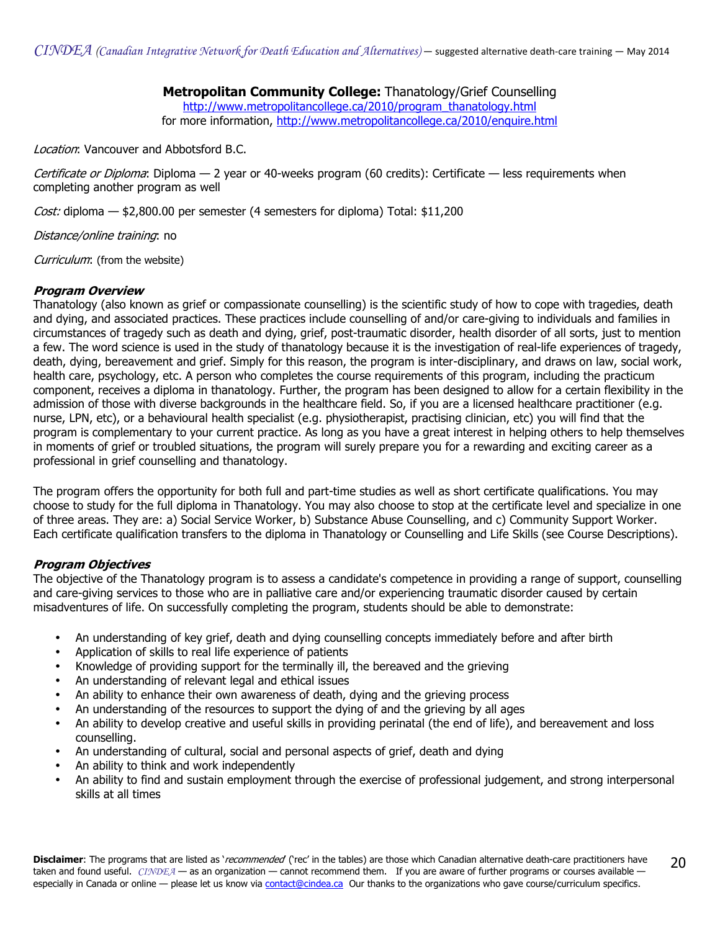## Metropolitan Community College: Thanatology/Grief Counselling

[http://www.metropolitancollege.ca/2010/program\\_thanatology.html](http://www.metropolitancollege.ca/2010/program_thanatology.html) for more information,<http://www.metropolitancollege.ca/2010/enquire.html>

Location: Vancouver and Abbotsford B.C.

Certificate or Diploma: Diploma - 2 year or 40-weeks program (60 credits): Certificate - less requirements when completing another program as well

*Cost:* diploma  $-$  \$2,800.00 per semester (4 semesters for diploma) Total: \$11,200

Distance/online training: no

Curriculum: (from the website)

## Program Overview

Thanatology (also known as grief or compassionate counselling) is the scientific study of how to cope with tragedies, death and dying, and associated practices. These practices include counselling of and/or care-giving to individuals and families in circumstances of tragedy such as death and dying, grief, post-traumatic disorder, health disorder of all sorts, just to mention a few. The word science is used in the study of thanatology because it is the investigation of real-life experiences of tragedy, death, dying, bereavement and grief. Simply for this reason, the program is inter-disciplinary, and draws on law, social work, health care, psychology, etc. A person who completes the course requirements of this program, including the practicum component, receives a diploma in thanatology. Further, the program has been designed to allow for a certain flexibility in the admission of those with diverse backgrounds in the healthcare field. So, if you are a licensed healthcare practitioner (e.g. nurse, LPN, etc), or a behavioural health specialist (e.g. physiotherapist, practising clinician, etc) you will find that the program is complementary to your current practice. As long as you have a great interest in helping others to help themselves in moments of grief or troubled situations, the program will surely prepare you for a rewarding and exciting career as a professional in grief counselling and thanatology.

The program offers the opportunity for both full and part-time studies as well as short certificate qualifications. You may choose to study for the full diploma in Thanatology. You may also choose to stop at the certificate level and specialize in one of three areas. They are: a) Social Service Worker, b) Substance Abuse Counselling, and c) Community Support Worker. Each certificate qualification transfers to the diploma in Thanatology or Counselling and Life Skills (see Course Descriptions).

## Program Objectives

The objective of the Thanatology program is to assess a candidate's competence in providing a range of support, counselling and care-giving services to those who are in palliative care and/or experiencing traumatic disorder caused by certain misadventures of life. On successfully completing the program, students should be able to demonstrate:

- An understanding of key grief, death and dying counselling concepts immediately before and after birth
- Application of skills to real life experience of patients
- Knowledge of providing support for the terminally ill, the bereaved and the grieving
- An understanding of relevant legal and ethical issues
- An ability to enhance their own awareness of death, dying and the grieving process
- An understanding of the resources to support the dying of and the grieving by all ages
- An ability to develop creative and useful skills in providing perinatal (the end of life), and bereavement and loss counselling.
- An understanding of cultural, social and personal aspects of grief, death and dying
- An ability to think and work independently
- An ability to find and sustain employment through the exercise of professional judgement, and strong interpersonal skills at all times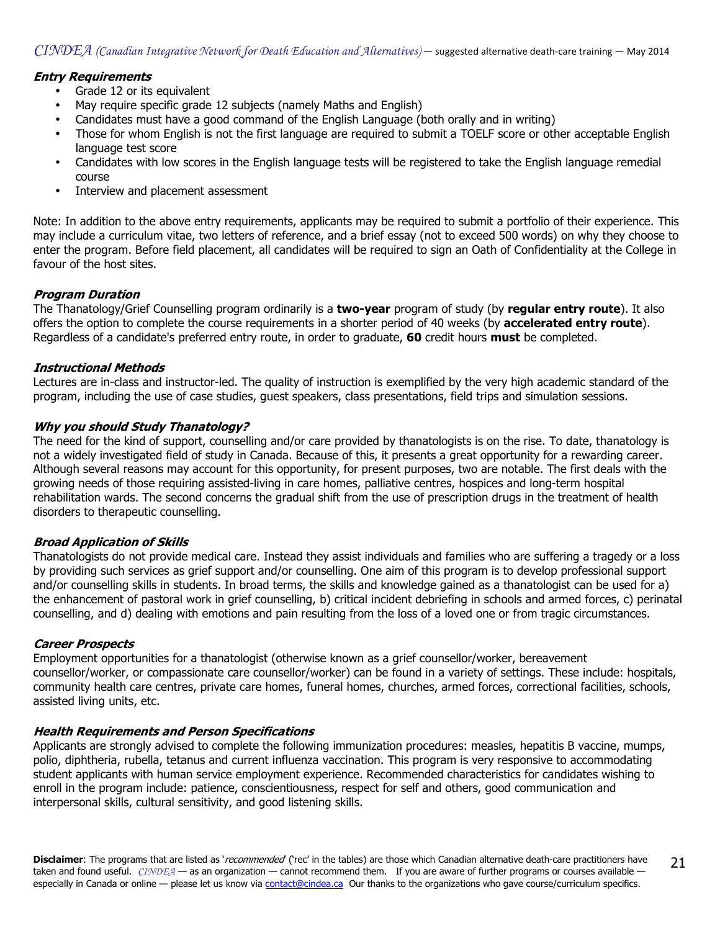## Entry Requirements

- Grade 12 or its equivalent
- May require specific grade 12 subjects (namely Maths and English)
- Candidates must have a good command of the English Language (both orally and in writing)
- Those for whom English is not the first language are required to submit a TOELF score or other acceptable English language test score
- Candidates with low scores in the English language tests will be registered to take the English language remedial course
- Interview and placement assessment

Note: In addition to the above entry requirements, applicants may be required to submit a portfolio of their experience. This may include a curriculum vitae, two letters of reference, and a brief essay (not to exceed 500 words) on why they choose to enter the program. Before field placement, all candidates will be required to sign an Oath of Confidentiality at the College in favour of the host sites.

#### Program Duration

The Thanatology/Grief Counselling program ordinarily is a two-year program of study (by regular entry route). It also offers the option to complete the course requirements in a shorter period of 40 weeks (by **accelerated entry route**). Regardless of a candidate's preferred entry route, in order to graduate, 60 credit hours must be completed.

## Instructional Methods

Lectures are in-class and instructor-led. The quality of instruction is exemplified by the very high academic standard of the program, including the use of case studies, guest speakers, class presentations, field trips and simulation sessions.

#### Why you should Study Thanatology?

The need for the kind of support, counselling and/or care provided by thanatologists is on the rise. To date, thanatology is not a widely investigated field of study in Canada. Because of this, it presents a great opportunity for a rewarding career. Although several reasons may account for this opportunity, for present purposes, two are notable. The first deals with the growing needs of those requiring assisted-living in care homes, palliative centres, hospices and long-term hospital rehabilitation wards. The second concerns the gradual shift from the use of prescription drugs in the treatment of health disorders to therapeutic counselling.

## Broad Application of Skills

Thanatologists do not provide medical care. Instead they assist individuals and families who are suffering a tragedy or a loss by providing such services as grief support and/or counselling. One aim of this program is to develop professional support and/or counselling skills in students. In broad terms, the skills and knowledge gained as a thanatologist can be used for a) the enhancement of pastoral work in grief counselling, b) critical incident debriefing in schools and armed forces, c) perinatal counselling, and d) dealing with emotions and pain resulting from the loss of a loved one or from tragic circumstances.

#### Career Prospects

Employment opportunities for a thanatologist (otherwise known as a grief counsellor/worker, bereavement counsellor/worker, or compassionate care counsellor/worker) can be found in a variety of settings. These include: hospitals, community health care centres, private care homes, funeral homes, churches, armed forces, correctional facilities, schools, assisted living units, etc.

## Health Requirements and Person Specifications

Applicants are strongly advised to complete the following immunization procedures: measles, hepatitis B vaccine, mumps, polio, diphtheria, rubella, tetanus and current influenza vaccination. This program is very responsive to accommodating student applicants with human service employment experience. Recommended characteristics for candidates wishing to enroll in the program include: patience, conscientiousness, respect for self and others, good communication and interpersonal skills, cultural sensitivity, and good listening skills.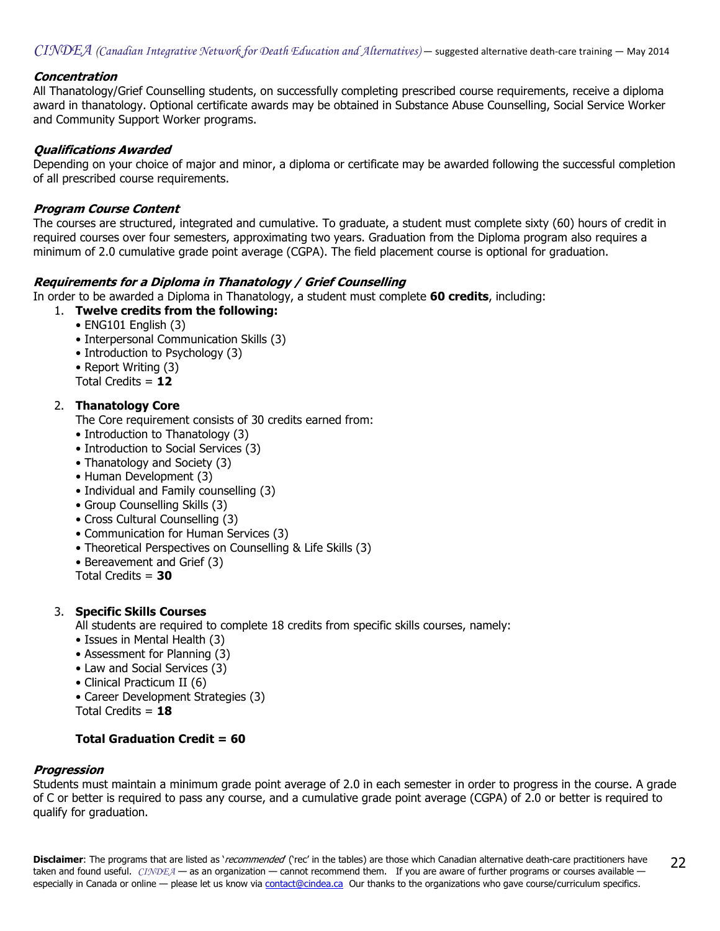$CINDEA$  (Canadian Integrative Network for Death Education and Alternatives) — suggested alternative death-care training — May 2014

#### **Concentration**

All Thanatology/Grief Counselling students, on successfully completing prescribed course requirements, receive a diploma award in thanatology. Optional certificate awards may be obtained in Substance Abuse Counselling, Social Service Worker and Community Support Worker programs.

#### Qualifications Awarded

Depending on your choice of major and minor, a diploma or certificate may be awarded following the successful completion of all prescribed course requirements.

#### Program Course Content

The courses are structured, integrated and cumulative. To graduate, a student must complete sixty (60) hours of credit in required courses over four semesters, approximating two years. Graduation from the Diploma program also requires a minimum of 2.0 cumulative grade point average (CGPA). The field placement course is optional for graduation.

#### Requirements for a Diploma in Thanatology / Grief Counselling

In order to be awarded a Diploma in Thanatology, a student must complete 60 credits, including:

- 1. Twelve credits from the following:
	- ENG101 English (3)
	- Interpersonal Communication Skills (3)
	- Introduction to Psychology (3)
	- Report Writing (3)
	- Total Credits = 12

#### 2. Thanatology Core

- The Core requirement consists of 30 credits earned from:
- Introduction to Thanatology (3)
- Introduction to Social Services (3)
- Thanatology and Society (3)
- Human Development (3)
- Individual and Family counselling (3)
- Group Counselling Skills (3)
- Cross Cultural Counselling (3)
- Communication for Human Services (3)
- Theoretical Perspectives on Counselling & Life Skills (3)
- Bereavement and Grief (3)
- Total Credits  $= 30$

## 3. Specific Skills Courses

All students are required to complete 18 credits from specific skills courses, namely:

- Issues in Mental Health (3)
- Assessment for Planning (3)
- Law and Social Services (3)
- Clinical Practicum II (6)
- Career Development Strategies (3)
- Total Credits  $= 18$

## **Total Graduation Credit =**  $60$

#### Progression

Students must maintain a minimum grade point average of 2.0 in each semester in order to progress in the course. A grade of C or better is required to pass any course, and a cumulative grade point average (CGPA) of 2.0 or better is required to qualify for graduation.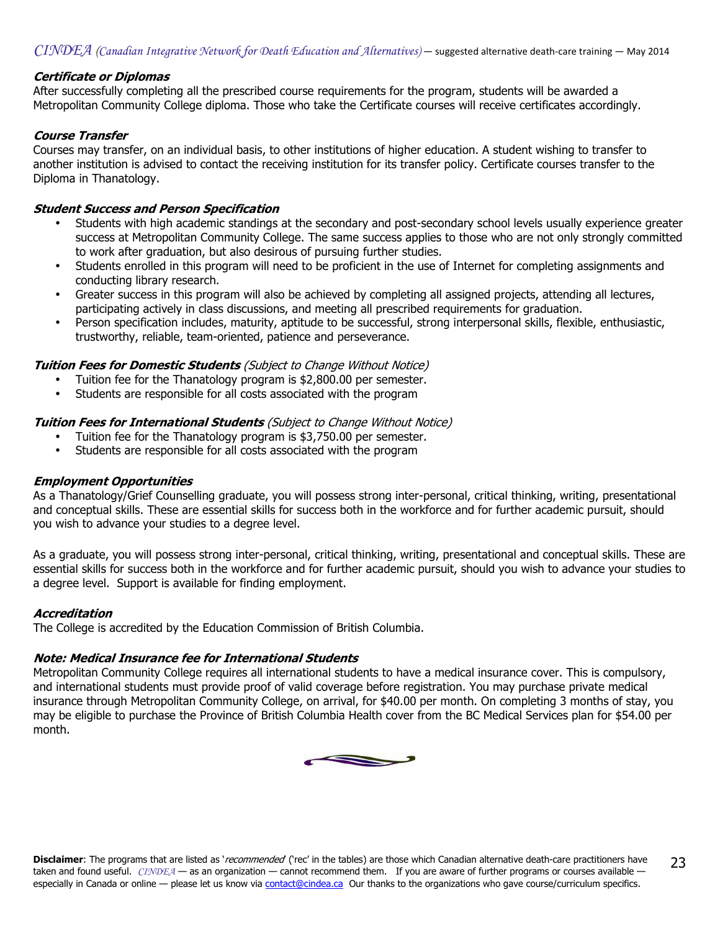#### Certificate or Diplomas

After successfully completing all the prescribed course requirements for the program, students will be awarded a Metropolitan Community College diploma. Those who take the Certificate courses will receive certificates accordingly.

#### Course Transfer

Courses may transfer, on an individual basis, to other institutions of higher education. A student wishing to transfer to another institution is advised to contact the receiving institution for its transfer policy. Certificate courses transfer to the Diploma in Thanatology.

#### Student Success and Person Specification

- Students with high academic standings at the secondary and post-secondary school levels usually experience greater success at Metropolitan Community College. The same success applies to those who are not only strongly committed to work after graduation, but also desirous of pursuing further studies.
- Students enrolled in this program will need to be proficient in the use of Internet for completing assignments and conducting library research.
- Greater success in this program will also be achieved by completing all assigned projects, attending all lectures, participating actively in class discussions, and meeting all prescribed requirements for graduation.
- Person specification includes, maturity, aptitude to be successful, strong interpersonal skills, flexible, enthusiastic, trustworthy, reliable, team-oriented, patience and perseverance.

#### **Tuition Fees for Domestic Students** (Subject to Change Without Notice)

- Tuition fee for the Thanatology program is \$2,800.00 per semester.
- Students are responsible for all costs associated with the program

#### **Tuition Fees for International Students** (Subject to Change Without Notice)

- Tuition fee for the Thanatology program is \$3,750.00 per semester.
- Students are responsible for all costs associated with the program

#### Employment Opportunities

As a Thanatology/Grief Counselling graduate, you will possess strong inter-personal, critical thinking, writing, presentational and conceptual skills. These are essential skills for success both in the workforce and for further academic pursuit, should you wish to advance your studies to a degree level.

As a graduate, you will possess strong inter-personal, critical thinking, writing, presentational and conceptual skills. These are essential skills for success both in the workforce and for further academic pursuit, should you wish to advance your studies to a degree level. Support is available for finding employment.

## Accreditation

The College is accredited by the Education Commission of British Columbia.

## Note: Medical Insurance fee for International Students

Metropolitan Community College requires all international students to have a medical insurance cover. This is compulsory, and international students must provide proof of valid coverage before registration. You may purchase private medical insurance through Metropolitan Community College, on arrival, for \$40.00 per month. On completing 3 months of stay, you may be eligible to purchase the Province of British Columbia Health cover from the BC Medical Services plan for \$54.00 per month.

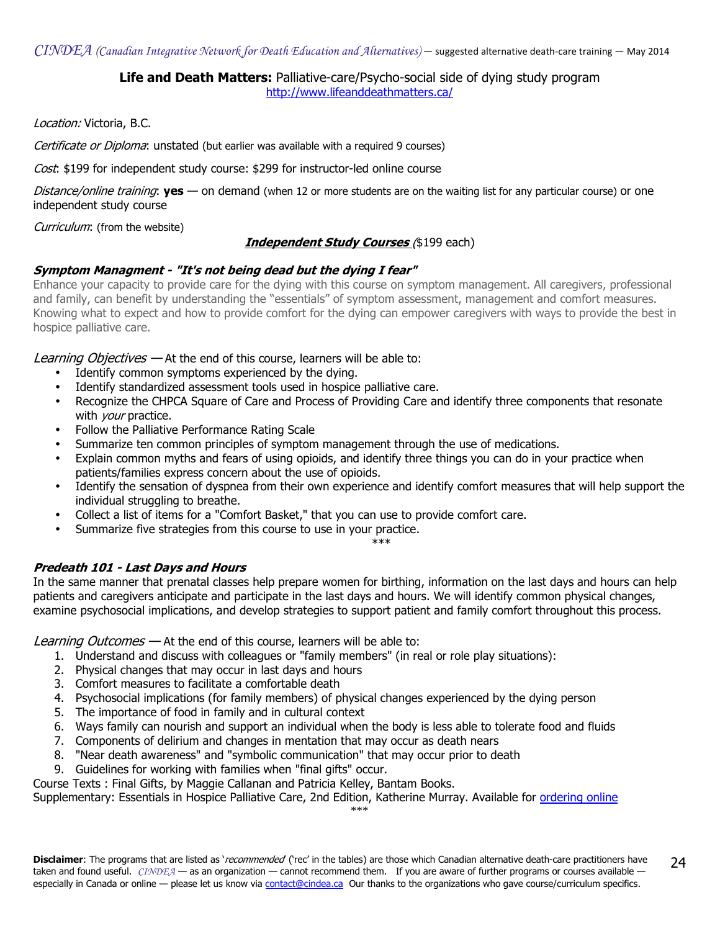## Life and Death Matters: Palliative-care/Psycho-social side of dying study program <http://www.lifeanddeathmatters.ca/>

Location: Victoria, B.C.

Certificate or Diploma: unstated (but earlier was available with a required 9 courses)

Cost: \$199 for independent study course: \$299 for instructor-led online course

Distance/online training: **yes** — on demand (when 12 or more students are on the waiting list for any particular course) or one independent study course

Curriculum: (from the website)

## **Independent Study Courses** (\$199 each)

## Symptom Managment - "It's not being dead but the dying I fear"

Enhance your capacity to provide care for the dying with this course on symptom management. All caregivers, professional and family, can benefit by understanding the "essentials" of symptom assessment, management and comfort measures. Knowing what to expect and how to provide comfort for the dying can empower caregivers with ways to provide the best in hospice palliative care.

Learning Objectives – At the end of this course, learners will be able to:

- Identify common symptoms experienced by the dying.
- Identify standardized assessment tools used in hospice palliative care.
- Recognize the CHPCA Square of Care and Process of Providing Care and identify three components that resonate with *your* practice.
- Follow the Palliative Performance Rating Scale
- Summarize ten common principles of symptom management through the use of medications.
- Explain common myths and fears of using opioids, and identify three things you can do in your practice when patients/families express concern about the use of opioids.
- Identify the sensation of dyspnea from their own experience and identify comfort measures that will help support the individual struggling to breathe.
- Collect a list of items for a "Comfort Basket," that you can use to provide comfort care.
- Summarize five strategies from this course to use in your practice.<br>\*\*\*

 $***$ 

## Predeath 101 - Last Days and Hours

In the same manner that prenatal classes help prepare women for birthing, information on the last days and hours can help patients and caregivers anticipate and participate in the last days and hours. We will identify common physical changes, examine psychosocial implications, and develop strategies to support patient and family comfort throughout this process.

Learning Outcomes – At the end of this course, learners will be able to:

- 1. Understand and discuss with colleagues or "family members" (in real or role play situations):
- 2. Physical changes that may occur in last days and hours
- 3. Comfort measures to facilitate a comfortable death
- 4. Psychosocial implications (for family members) of physical changes experienced by the dying person
- 5. The importance of food in family and in cultural context
- 6. Ways family can nourish and support an individual when the body is less able to tolerate food and fluids
- 7. Components of delirium and changes in mentation that may occur as death nears
- 8. "Near death awareness" and "symbolic communication" that may occur prior to death
- 9. Guidelines for working with families when "final gifts" occur.

Course Texts : Final Gifts, by Maggie Callanan and Patricia Kelley, Bantam Books.

Supplementary: Essentials in Hospice Palliative Care, 2nd Edition, Katherine Murray. Available for [ordering online](http://www.amazon.ca/s/ref=nb_sb_ss_i_1_17?url=search-alias%3Dstripbooks&field-keywords=essentials+in+hospice+palliative+care+katherine+murray&sprefix=essentials+in+hos) 

\*\*\*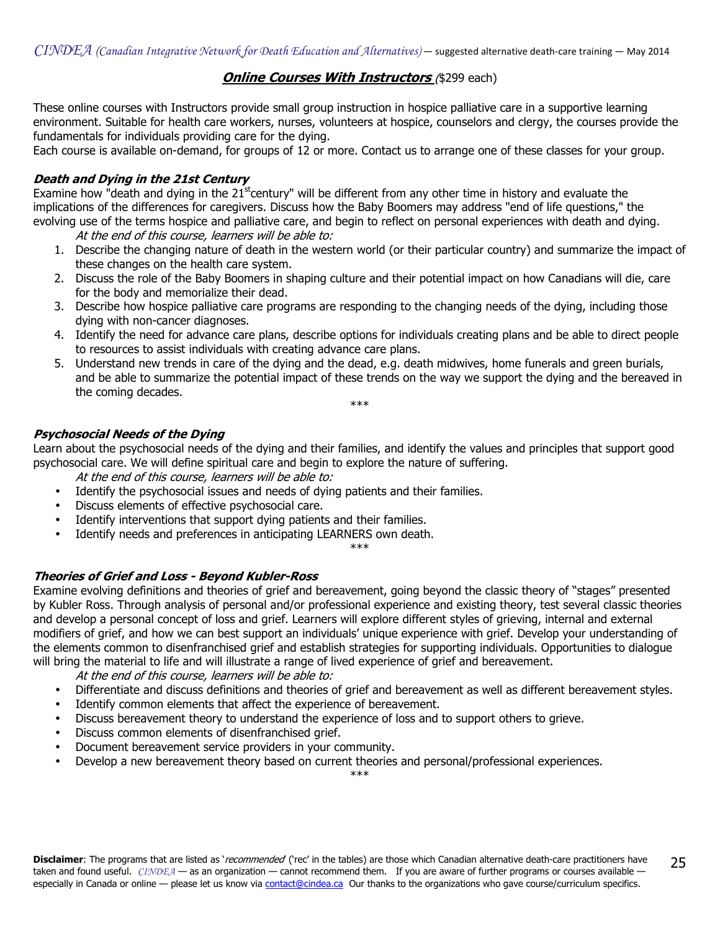## **Online Courses With Instructors** (\$299 each)

These online courses with Instructors provide small group instruction in hospice palliative care in a supportive learning environment. Suitable for health care workers, nurses, volunteers at hospice, counselors and clergy, the courses provide the fundamentals for individuals providing care for the dying.

Each course is available on-demand, for groups of 12 or more. Contact us to arrange one of these classes for your group.

## Death and Dying in the 21st Century

Examine how "death and dying in the  $21<sup>st</sup>$ century" will be different from any other time in history and evaluate the implications of the differences for caregivers. Discuss how the Baby Boomers may address "end of life questions," the evolving use of the terms hospice and palliative care, and begin to reflect on personal experiences with death and dying. At the end of this course, learners will be able to:

- 1. Describe the changing nature of death in the western world (or their particular country) and summarize the impact of these changes on the health care system.
- 2. Discuss the role of the Baby Boomers in shaping culture and their potential impact on how Canadians will die, care for the body and memorialize their dead.
- 3. Describe how hospice palliative care programs are responding to the changing needs of the dying, including those dying with non-cancer diagnoses.
- 4. Identify the need for advance care plans, describe options for individuals creating plans and be able to direct people to resources to assist individuals with creating advance care plans.
- 5. Understand new trends in care of the dying and the dead, e.g. death midwives, home funerals and green burials, and be able to summarize the potential impact of these trends on the way we support the dying and the bereaved in the coming decades.

\*\*\*

## Psychosocial Needs of the Dying

Learn about the psychosocial needs of the dying and their families, and identify the values and principles that support good psychosocial care. We will define spiritual care and begin to explore the nature of suffering.

At the end of this course, learners will be able to:

- Identify the psychosocial issues and needs of dying patients and their families.
- Discuss elements of effective psychosocial care.
- Identify interventions that support dying patients and their families.
- Identify needs and preferences in anticipating LEARNERS own death.

\*\*\*

## Theories of Grief and Loss - Beyond Kubler-Ross

Examine evolving definitions and theories of grief and bereavement, going beyond the classic theory of "stages" presented by Kubler Ross. Through analysis of personal and/or professional experience and existing theory, test several classic theories and develop a personal concept of loss and grief. Learners will explore different styles of grieving, internal and external modifiers of grief, and how we can best support an individuals' unique experience with grief. Develop your understanding of the elements common to disenfranchised grief and establish strategies for supporting individuals. Opportunities to dialogue will bring the material to life and will illustrate a range of lived experience of grief and bereavement.

At the end of this course, learners will be able to:

- Differentiate and discuss definitions and theories of grief and bereavement as well as different bereavement styles.
- Identify common elements that affect the experience of bereavement.
- Discuss bereavement theory to understand the experience of loss and to support others to grieve.
- Discuss common elements of disenfranchised grief.
- Document bereavement service providers in your community.
- Develop a new bereavement theory based on current theories and personal/professional experiences.

\*\*\*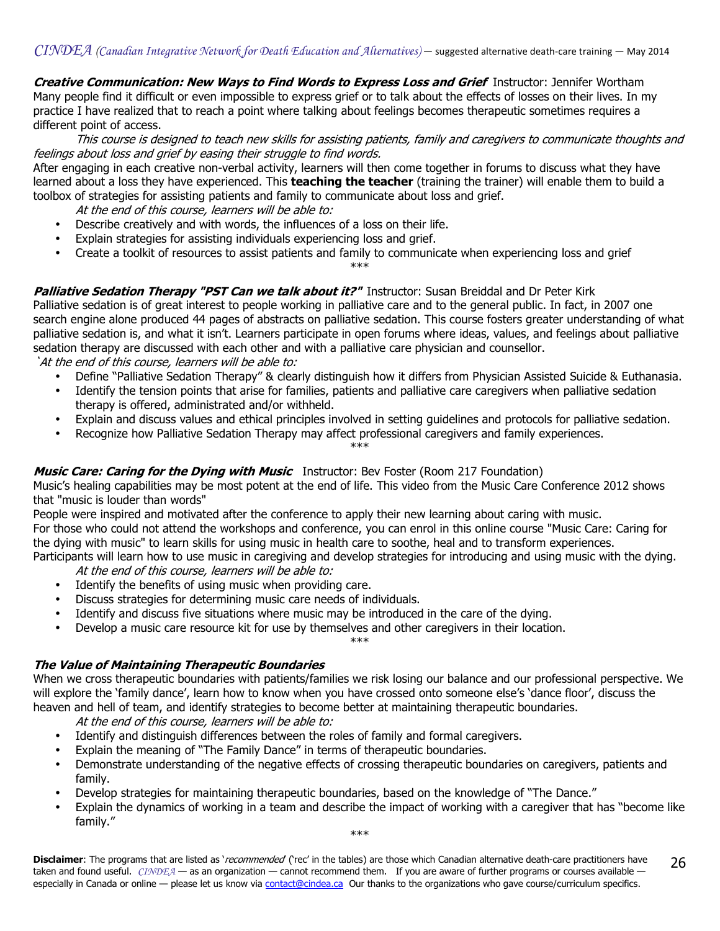Creative Communication: New Ways to Find Words to Express Loss and Grief Instructor: Jennifer Wortham Many people find it difficult or even impossible to express grief or to talk about the effects of losses on their lives. In my practice I have realized that to reach a point where talking about feelings becomes therapeutic sometimes requires a different point of access.

 This course is designed to teach new skills for assisting patients, family and caregivers to communicate thoughts and feelings about loss and grief by easing their struggle to find words.

After engaging in each creative non-verbal activity, learners will then come together in forums to discuss what they have learned about a loss they have experienced. This teaching the teacher (training the trainer) will enable them to build a toolbox of strategies for assisting patients and family to communicate about loss and grief.

- At the end of this course, learners will be able to:
- Describe creatively and with words, the influences of a loss on their life.
- Explain strategies for assisting individuals experiencing loss and grief.
- Create a toolkit of resources to assist patients and family to communicate when experiencing loss and grief \*\*\*

## Palliative Sedation Therapy "PST Can we talk about it?"Instructor: Susan Breiddal and Dr Peter Kirk

Palliative sedation is of great interest to people working in palliative care and to the general public. In fact, in 2007 one search engine alone produced 44 pages of abstracts on palliative sedation. This course fosters greater understanding of what palliative sedation is, and what it isn't. Learners participate in open forums where ideas, values, and feelings about palliative sedation therapy are discussed with each other and with a palliative care physician and counsellor.

`At the end of this course, learners will be able to:

- Define "Palliative Sedation Therapy" & clearly distinguish how it differs from Physician Assisted Suicide & Euthanasia.
- Identify the tension points that arise for families, patients and palliative care caregivers when palliative sedation therapy is offered, administrated and/or withheld.
- Explain and discuss values and ethical principles involved in setting guidelines and protocols for palliative sedation.
- Recognize how Palliative Sedation Therapy may affect professional caregivers and family experiences. \*\*\*

## Music Care: Caring for the Dying with Music Instructor: Bev Foster (Room 217 Foundation)

Music's healing capabilities may be most potent at the end of life. This video from the Music Care Conference 2012 shows that "music is louder than words"

People were inspired and motivated after the conference to apply their new learning about caring with music. For those who could not attend the workshops and conference, you can enrol in this online course "Music Care: Caring for the dying with music" to learn skills for using music in health care to soothe, heal and to transform experiences. Participants will learn how to use music in caregiving and develop strategies for introducing and using music with the dying.

At the end of this course, learners will be able to:

- Identify the benefits of using music when providing care.
- Discuss strategies for determining music care needs of individuals.
- Identify and discuss five situations where music may be introduced in the care of the dying.
- Develop a music care resource kit for use by themselves and other caregivers in their location.

\*\*\*

## The Value of Maintaining Therapeutic Boundaries

When we cross therapeutic boundaries with patients/families we risk losing our balance and our professional perspective. We will explore the 'family dance', learn how to know when you have crossed onto someone else's 'dance floor', discuss the heaven and hell of team, and identify strategies to become better at maintaining therapeutic boundaries.

At the end of this course, learners will be able to:

- Identify and distinguish differences between the roles of family and formal caregivers.
- Explain the meaning of "The Family Dance" in terms of therapeutic boundaries.
- Demonstrate understanding of the negative effects of crossing therapeutic boundaries on caregivers, patients and family.
- Develop strategies for maintaining therapeutic boundaries, based on the knowledge of "The Dance."
- Explain the dynamics of working in a team and describe the impact of working with a caregiver that has "become like family."

\*\*\*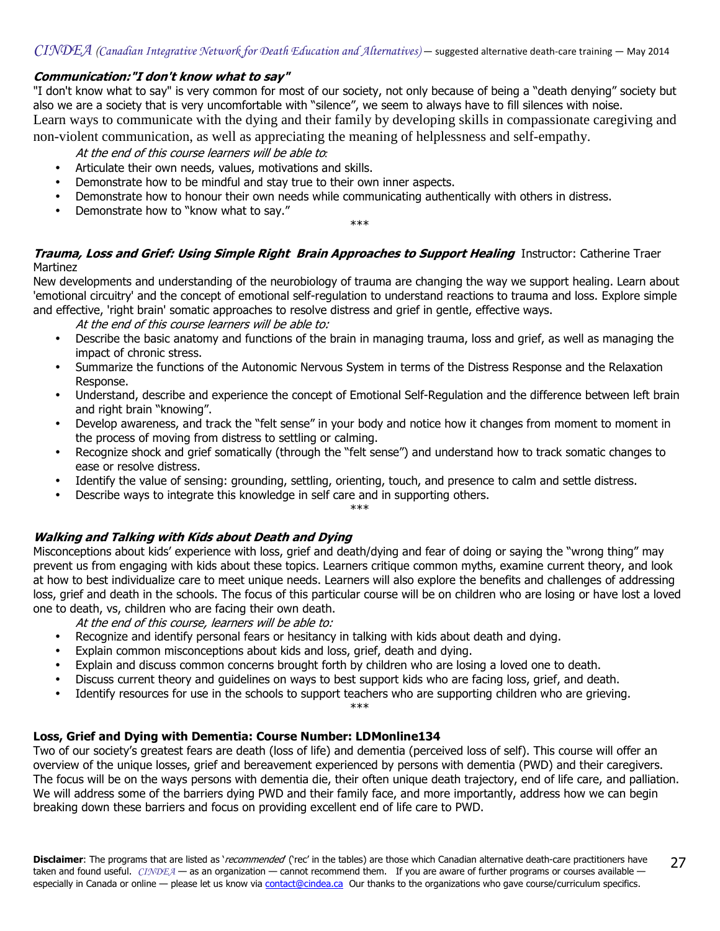## Communication:"I don't know what to say"

"I don't know what to say" is very common for most of our society, not only because of being a "death denying" society but also we are a society that is very uncomfortable with "silence", we seem to always have to fill silences with noise. Learn ways to communicate with the dying and their family by developing skills in compassionate caregiving and

non-violent communication, as well as appreciating the meaning of helplessness and self-empathy.

At the end of this course learners will be able to*:* 

- Articulate their own needs, values, motivations and skills.
- Demonstrate how to be mindful and stay true to their own inner aspects.
- Demonstrate how to honour their own needs while communicating authentically with others in distress.
- Demonstrate how to "know what to say."

\*\*\*

## Trauma, Loss and Grief: Using Simple Right Brain Approaches to Support Healing Instructor: Catherine Traer Martinez

New developments and understanding of the neurobiology of trauma are changing the way we support healing. Learn about 'emotional circuitry' and the concept of emotional self-regulation to understand reactions to trauma and loss. Explore simple and effective, 'right brain' somatic approaches to resolve distress and grief in gentle, effective ways.

At the end of this course learners will be able to:

- Describe the basic anatomy and functions of the brain in managing trauma, loss and grief, as well as managing the impact of chronic stress.
- Summarize the functions of the Autonomic Nervous System in terms of the Distress Response and the Relaxation Response.
- Understand, describe and experience the concept of Emotional Self-Regulation and the difference between left brain and right brain "knowing".
- Develop awareness, and track the "felt sense" in your body and notice how it changes from moment to moment in the process of moving from distress to settling or calming.
- Recognize shock and grief somatically (through the "felt sense") and understand how to track somatic changes to ease or resolve distress.
- Identify the value of sensing: grounding, settling, orienting, touch, and presence to calm and settle distress.
- Describe ways to integrate this knowledge in self care and in supporting others.

\*\*\*

## Walking and Talking with Kids about Death and Dying

Misconceptions about kids' experience with loss, grief and death/dying and fear of doing or saying the "wrong thing" may prevent us from engaging with kids about these topics. Learners critique common myths, examine current theory, and look at how to best individualize care to meet unique needs. Learners will also explore the benefits and challenges of addressing loss, grief and death in the schools. The focus of this particular course will be on children who are losing or have lost a loved one to death, vs, children who are facing their own death.

At the end of this course, learners will be able to:

- Recognize and identify personal fears or hesitancy in talking with kids about death and dying.
- Explain common misconceptions about kids and loss, grief, death and dying.
- Explain and discuss common concerns brought forth by children who are losing a loved one to death.
- Discuss current theory and guidelines on ways to best support kids who are facing loss, grief, and death.
- Identify resources for use in the schools to support teachers who are supporting children who are grieving.

\*\*\*

## Loss, Grief and Dying with Dementia: Course Number: LDMonline134

Two of our society's greatest fears are death (loss of life) and dementia (perceived loss of self). This course will offer an overview of the unique losses, grief and bereavement experienced by persons with dementia (PWD) and their caregivers. The focus will be on the ways persons with dementia die, their often unique death trajectory, end of life care, and palliation. We will address some of the barriers dying PWD and their family face, and more importantly, address how we can begin breaking down these barriers and focus on providing excellent end of life care to PWD.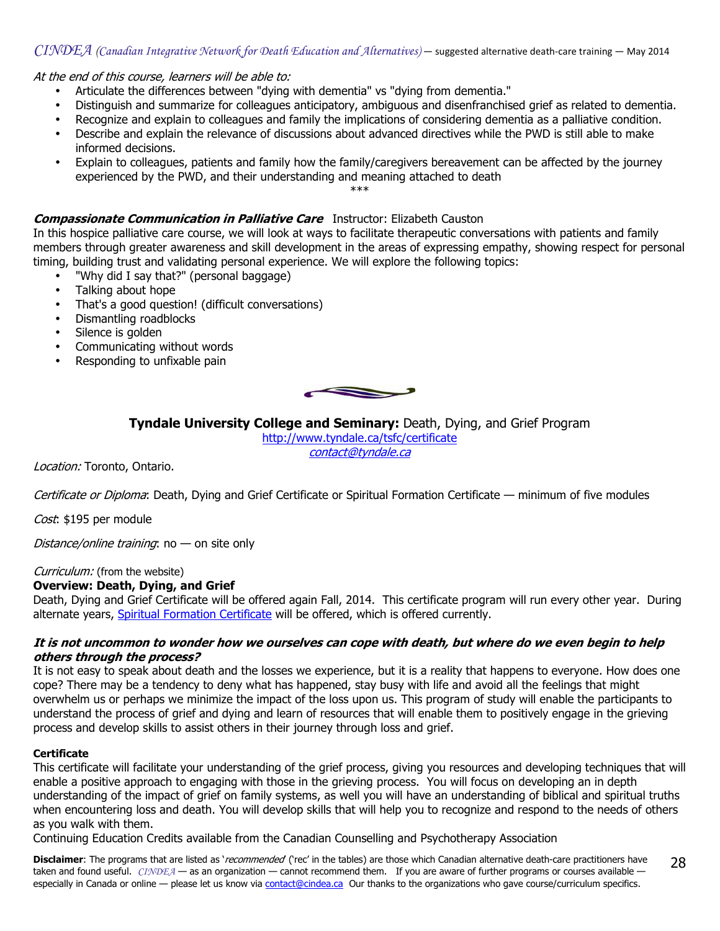#### $CINDEA$  (Canadian Integrative Network for Death Education and Alternatives) — suggested alternative death-care training — May 2014

At the end of this course, learners will be able to:

- Articulate the differences between "dying with dementia" vs "dying from dementia."
- Distinguish and summarize for colleagues anticipatory, ambiguous and disenfranchised grief as related to dementia.
- Recognize and explain to colleagues and family the implications of considering dementia as a palliative condition.
- Describe and explain the relevance of discussions about advanced directives while the PWD is still able to make informed decisions.
- Explain to colleagues, patients and family how the family/caregivers bereavement can be affected by the journey experienced by the PWD, and their understanding and meaning attached to death \*\*\*

## **Compassionate Communication in Palliative Care** Instructor: Elizabeth Causton

In this hospice palliative care course, we will look at ways to facilitate therapeutic conversations with patients and family members through greater awareness and skill development in the areas of expressing empathy, showing respect for personal timing, building trust and validating personal experience. We will explore the following topics:

- "Why did I say that?" (personal baggage)
- Talking about hope
- That's a good question! (difficult conversations)
- Dismantling roadblocks
- Silence is golden
- Communicating without words
- Responding to unfixable pain



Tyndale University College and Seminary: Death, Dying, and Grief Program

<http://www.tyndale.ca/tsfc/certificate> [contact@tyndale.ca](mailto:contact@tyndale.ca)

Location: Toronto, Ontario.

Certificate or Diploma: Death, Dying and Grief Certificate or Spiritual Formation Certificate — minimum of five modules

Cost: \$195 per module

Distance/online training:  $no - on site only$ 

Curriculum: (from the website)

#### Overview: Death, Dying, and Grief

Death, Dying and Grief Certificate will be offered again Fall, 2014. This certificate program will run every other year. During alternate years, [Spiritual Formation Certificate](http://www.tyndale.ca/tsfc/certificate-sf) will be offered, which is offered currently.

#### It is not uncommon to wonder how we ourselves can cope with death, but where do we even begin to help others through the process?

It is not easy to speak about death and the losses we experience, but it is a reality that happens to everyone. How does one cope? There may be a tendency to deny what has happened, stay busy with life and avoid all the feelings that might overwhelm us or perhaps we minimize the impact of the loss upon us. This program of study will enable the participants to understand the process of grief and dying and learn of resources that will enable them to positively engage in the grieving process and develop skills to assist others in their journey through loss and grief.

#### **Certificate**

This certificate will facilitate your understanding of the grief process, giving you resources and developing techniques that will enable a positive approach to engaging with those in the grieving process. You will focus on developing an in depth understanding of the impact of grief on family systems, as well you will have an understanding of biblical and spiritual truths when encountering loss and death. You will develop skills that will help you to recognize and respond to the needs of others as you walk with them.

Continuing Education Credits available from the Canadian Counselling and Psychotherapy Association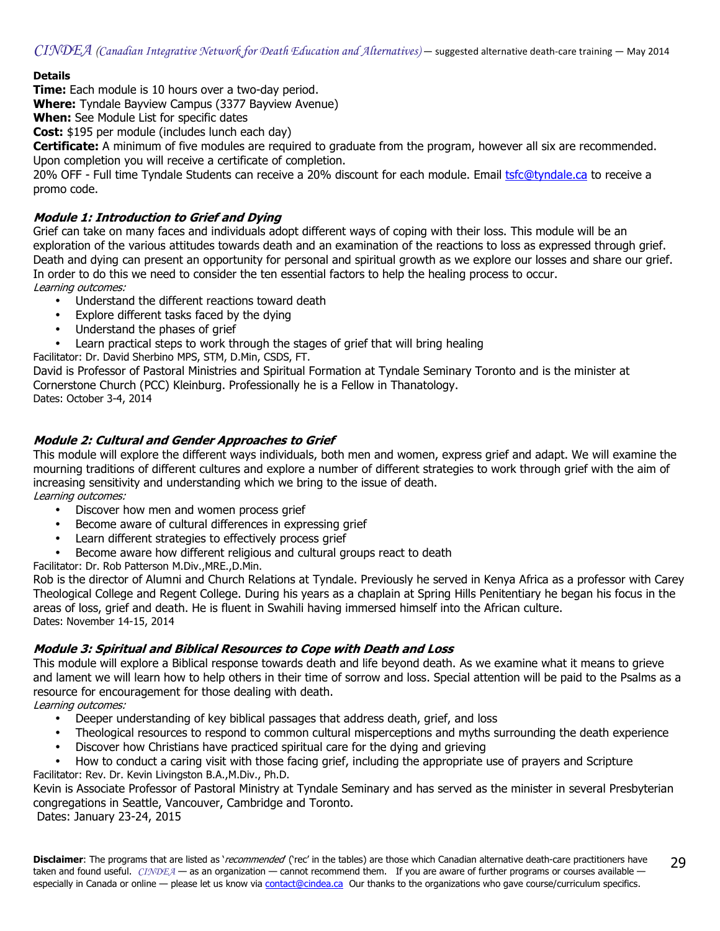## **Details**

**Time:** Each module is 10 hours over a two-day period.

Where: Tyndale Bayview Campus (3377 Bayview Avenue)

When: See Module List for specific dates

**Cost:** \$195 per module (includes lunch each day)

Certificate: A minimum of five modules are required to graduate from the program, however all six are recommended. Upon completion you will receive a certificate of completion.

20% OFF - Full time Tyndale Students can receive a 20% discount for each module. Email [tsfc@tyndale.ca](mailto:tsfc@tyndale.ca) to receive a promo code.

## Module 1: Introduction to Grief and Dying

Grief can take on many faces and individuals adopt different ways of coping with their loss. This module will be an exploration of the various attitudes towards death and an examination of the reactions to loss as expressed through grief. Death and dying can present an opportunity for personal and spiritual growth as we explore our losses and share our grief. In order to do this we need to consider the ten essential factors to help the healing process to occur. Learning outcomes:

- Understand the different reactions toward death
- Explore different tasks faced by the dying
- Understand the phases of grief
- Learn practical steps to work through the stages of grief that will bring healing

Facilitator: Dr. David Sherbino MPS, STM, D.Min, CSDS, FT.

David is Professor of Pastoral Ministries and Spiritual Formation at Tyndale Seminary Toronto and is the minister at Cornerstone Church (PCC) Kleinburg. Professionally he is a Fellow in Thanatology.

Dates: October 3-4, 2014

## Module 2: Cultural and Gender Approaches to Grief

This module will explore the different ways individuals, both men and women, express grief and adapt. We will examine the mourning traditions of different cultures and explore a number of different strategies to work through grief with the aim of increasing sensitivity and understanding which we bring to the issue of death.

Learning outcomes:

- Discover how men and women process grief
- Become aware of cultural differences in expressing grief
- Learn different strategies to effectively process grief
- Become aware how different religious and cultural groups react to death

Facilitator: Dr. Rob Patterson M.Div.,MRE.,D.Min.

Rob is the director of Alumni and Church Relations at Tyndale. Previously he served in Kenya Africa as a professor with Carey Theological College and Regent College. During his years as a chaplain at Spring Hills Penitentiary he began his focus in the areas of loss, grief and death. He is fluent in Swahili having immersed himself into the African culture. Dates: November 14-15, 2014

## Module 3: Spiritual and Biblical Resources to Cope with Death and Loss

This module will explore a Biblical response towards death and life beyond death. As we examine what it means to grieve and lament we will learn how to help others in their time of sorrow and loss. Special attention will be paid to the Psalms as a resource for encouragement for those dealing with death.

Learning outcomes:

- Deeper understanding of key biblical passages that address death, grief, and loss
- Theological resources to respond to common cultural misperceptions and myths surrounding the death experience
- Discover how Christians have practiced spiritual care for the dying and grieving

• How to conduct a caring visit with those facing grief, including the appropriate use of prayers and Scripture Facilitator: Rev. Dr. Kevin Livingston B.A.,M.Div., Ph.D.

Kevin is Associate Professor of Pastoral Ministry at Tyndale Seminary and has served as the minister in several Presbyterian congregations in Seattle, Vancouver, Cambridge and Toronto.

Dates: January 23-24, 2015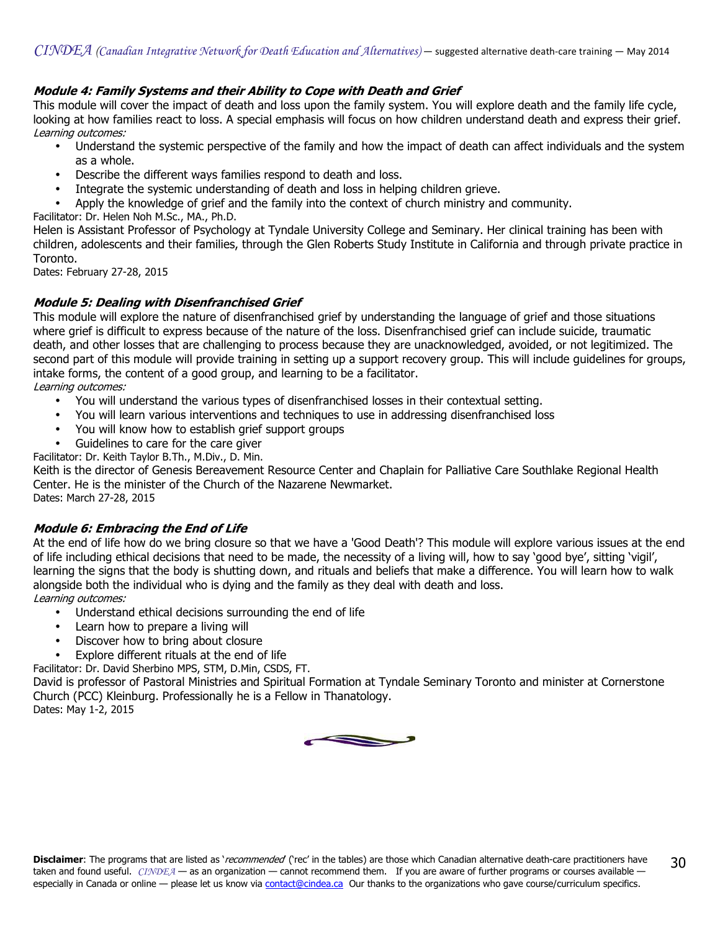## Module 4: Family Systems and their Ability to Cope with Death and Grief

This module will cover the impact of death and loss upon the family system. You will explore death and the family life cycle, looking at how families react to loss. A special emphasis will focus on how children understand death and express their grief. Learning outcomes:

- Understand the systemic perspective of the family and how the impact of death can affect individuals and the system as a whole.
- Describe the different ways families respond to death and loss.
- Integrate the systemic understanding of death and loss in helping children grieve.
- Apply the knowledge of grief and the family into the context of church ministry and community.

Facilitator: Dr. Helen Noh M.Sc., MA., Ph.D.

Helen is Assistant Professor of Psychology at Tyndale University College and Seminary. Her clinical training has been with children, adolescents and their families, through the Glen Roberts Study Institute in California and through private practice in Toronto.

Dates: February 27-28, 2015

## Module 5: Dealing with Disenfranchised Grief

This module will explore the nature of disenfranchised grief by understanding the language of grief and those situations where grief is difficult to express because of the nature of the loss. Disenfranchised grief can include suicide, traumatic death, and other losses that are challenging to process because they are unacknowledged, avoided, or not legitimized. The second part of this module will provide training in setting up a support recovery group. This will include guidelines for groups, intake forms, the content of a good group, and learning to be a facilitator. Learning outcomes:

- You will understand the various types of disenfranchised losses in their contextual setting.
- You will learn various interventions and techniques to use in addressing disenfranchised loss
- You will know how to establish grief support groups
- Guidelines to care for the care giver

Facilitator: Dr. Keith Taylor B.Th., M.Div., D. Min.

Keith is the director of Genesis Bereavement Resource Center and Chaplain for Palliative Care Southlake Regional Health Center. He is the minister of the Church of the Nazarene Newmarket. Dates: March 27-28, 2015

## Module 6: Embracing the End of Life

At the end of life how do we bring closure so that we have a 'Good Death'? This module will explore various issues at the end of life including ethical decisions that need to be made, the necessity of a living will, how to say 'good bye', sitting 'vigil', learning the signs that the body is shutting down, and rituals and beliefs that make a difference. You will learn how to walk alongside both the individual who is dying and the family as they deal with death and loss. Learning outcomes:

- Understand ethical decisions surrounding the end of life
- Learn how to prepare a living will
- Discover how to bring about closure
- Explore different rituals at the end of life

Facilitator: Dr. David Sherbino MPS, STM, D.Min, CSDS, FT.

David is professor of Pastoral Ministries and Spiritual Formation at Tyndale Seminary Toronto and minister at Cornerstone Church (PCC) Kleinburg. Professionally he is a Fellow in Thanatology. Dates: May 1-2, 2015

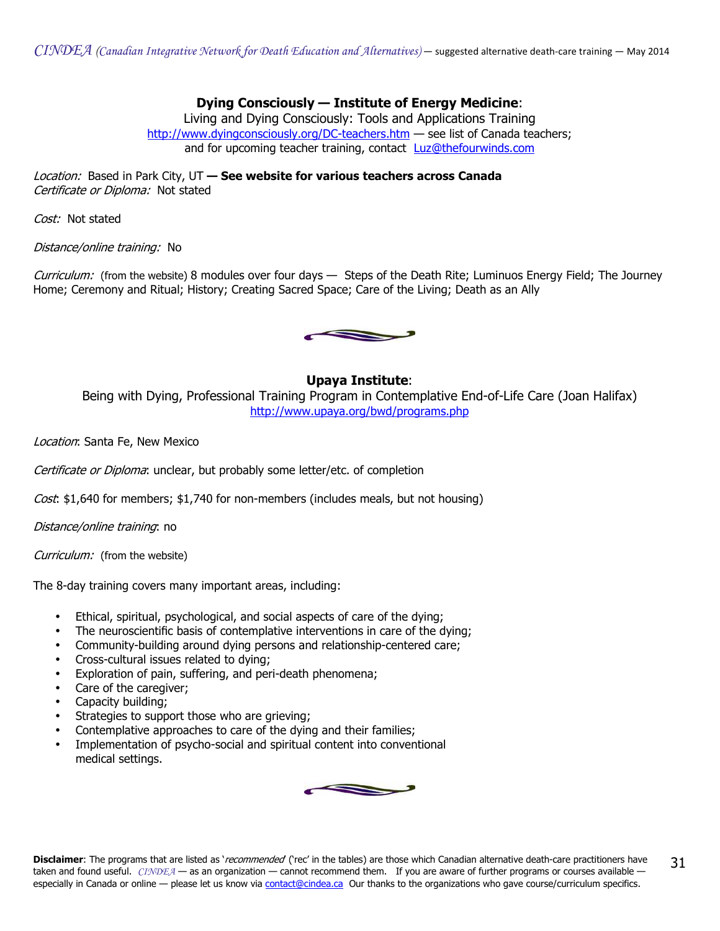$CINDEA$  (Canadian Integrative Network for Death Education and Alternatives) — suggested alternative death-care training — May 2014

Dying Consciously — Institute of Energy Medicine:

Living and Dying Consciously: Tools and Applications Training <http://www.dyingconsciously.org/DC-teachers.htm> $-$  see list of Canada teachers: and for upcoming teacher training, contact **[Luz@thefourwinds.com](mailto:Luz@thefourwinds.com)** 

Location: Based in Park City, UT - See website for various teachers across Canada Certificate or Diploma: Not stated

Cost: Not stated

Distance/online training: No

Curriculum: (from the website) 8 modules over four days — Steps of the Death Rite; Luminuos Energy Field; The Journey Home; Ceremony and Ritual; History; Creating Sacred Space; Care of the Living; Death as an Ally



## Upaya Institute:

Being with Dying, Professional Training Program in Contemplative End-of-Life Care (Joan Halifax) <http://www.upaya.org/bwd/programs.php>

Location: Santa Fe, New Mexico

Certificate or Diploma: unclear, but probably some letter/etc. of completion

Cost: \$1,640 for members; \$1,740 for non-members (includes meals, but not housing)

Distance/online training: no

Curriculum: (from the website)

The 8-day training covers many important areas, including:

- Ethical, spiritual, psychological, and social aspects of care of the dying;
- The neuroscientific basis of contemplative interventions in care of the dying;
- Community-building around dying persons and relationship-centered care;
- Cross-cultural issues related to dying;
- Exploration of pain, suffering, and peri-death phenomena;
- Care of the caregiver;
- Capacity building;
- Strategies to support those who are grieving;
- Contemplative approaches to care of the dying and their families;
- Implementation of psycho-social and spiritual content into conventional medical settings.

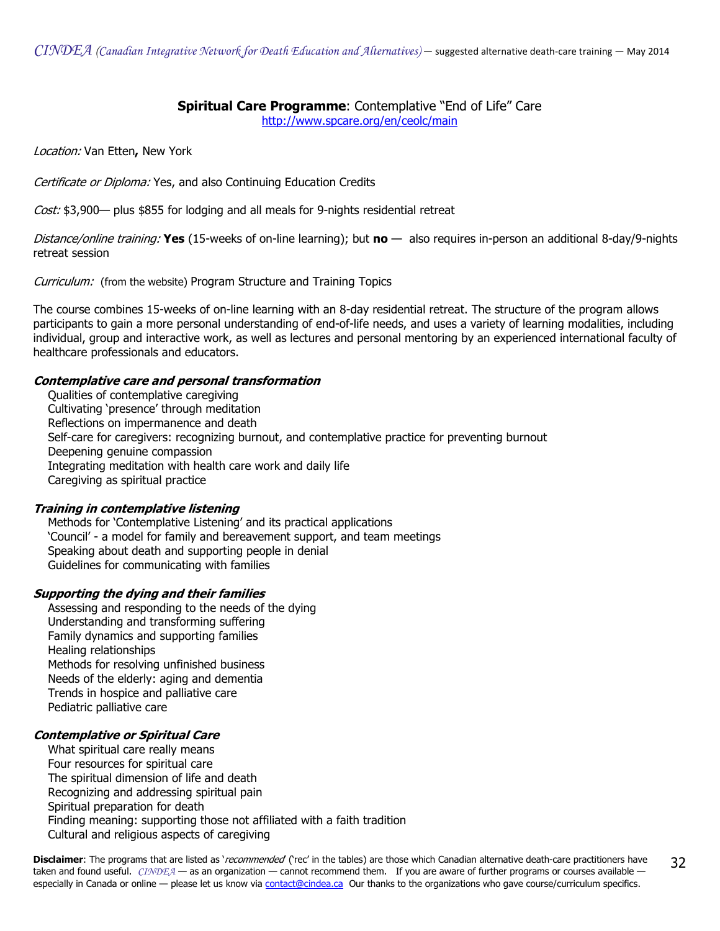## **Spiritual Care Programme: Contemplative "End of Life" Care**

<http://www.spcare.org/en/ceolc/main>

Location: Van Etten, New York

Certificate or Diploma: Yes, and also Continuing Education Credits

Cost: \$3,900— plus \$855 for lodging and all meals for 9-nights residential retreat

Distance/online training: Yes (15-weeks of on-line learning); but no  $-$  also requires in-person an additional 8-day/9-nights retreat session

Curriculum: (from the website) Program Structure and Training Topics

The course combines 15-weeks of on-line learning with an 8-day residential retreat. The structure of the program allows participants to gain a more personal understanding of end-of-life needs, and uses a variety of learning modalities, including individual, group and interactive work, as well as lectures and personal mentoring by an experienced international faculty of healthcare professionals and educators.

## Contemplative care and personal transformation

 Qualities of contemplative caregiving Cultivating 'presence' through meditation Reflections on impermanence and death Self-care for caregivers: recognizing burnout, and contemplative practice for preventing burnout Deepening genuine compassion Integrating meditation with health care work and daily life Caregiving as spiritual practice

## Training in contemplative listening

 Methods for 'Contemplative Listening' and its practical applications 'Council' - a model for family and bereavement support, and team meetings Speaking about death and supporting people in denial Guidelines for communicating with families

## Supporting the dying and their families

 Assessing and responding to the needs of the dying Understanding and transforming suffering Family dynamics and supporting families Healing relationships Methods for resolving unfinished business Needs of the elderly: aging and dementia Trends in hospice and palliative care Pediatric palliative care

## Contemplative or Spiritual Care

 What spiritual care really means Four resources for spiritual care The spiritual dimension of life and death Recognizing and addressing spiritual pain Spiritual preparation for death Finding meaning: supporting those not affiliated with a faith tradition Cultural and religious aspects of caregiving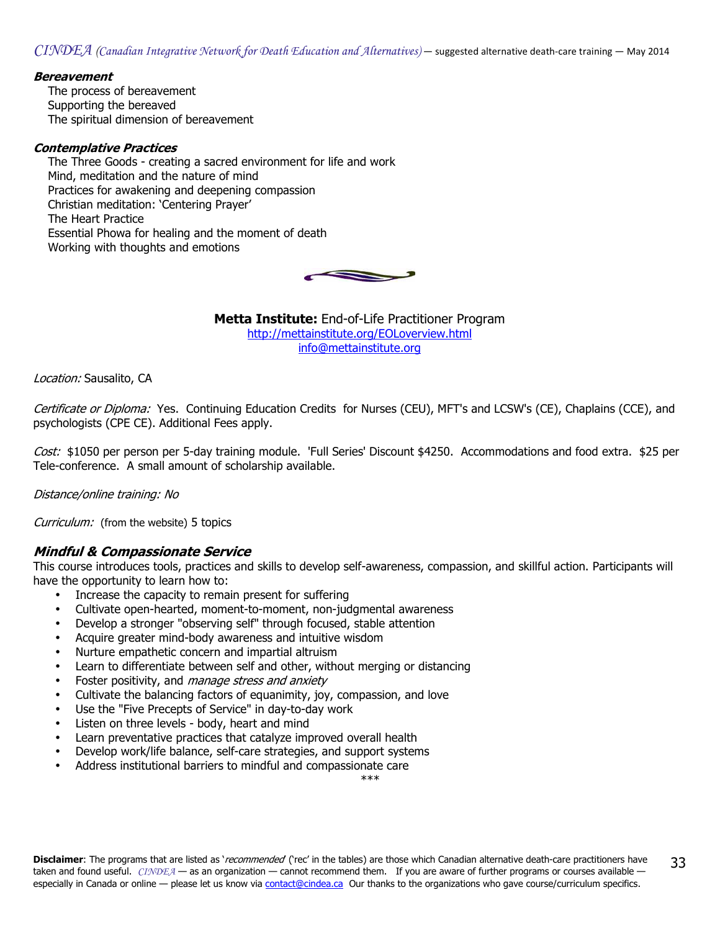## **Bereavement**

 The process of bereavement Supporting the bereaved The spiritual dimension of bereavement

## Contemplative Practices

 The Three Goods - creating a sacred environment for life and work Mind, meditation and the nature of mind Practices for awakening and deepening compassion Christian meditation: 'Centering Prayer' The Heart Practice Essential Phowa for healing and the moment of death Working with thoughts and emotions



**Metta Institute:** End-of-Life Practitioner Program <http://mettainstitute.org/EOLoverview.html> [info@mettainstitute.org](mailto:info@mettainstitute.org)

Location: Sausalito, CA

Certificate or Diploma: Yes. Continuing Education Credits for Nurses (CEU), MFT's and LCSW's (CE), Chaplains (CCE), and psychologists (CPE CE). Additional Fees apply.

Cost: \$1050 per person per 5-day training module. 'Full Series' Discount \$4250. Accommodations and food extra. \$25 per Tele-conference. A small amount of scholarship available.

Distance/online training: No

Curriculum: (from the website) 5 topics

## Mindful & Compassionate Service

This course introduces tools, practices and skills to develop self-awareness, compassion, and skillful action. Participants will have the opportunity to learn how to:

- Increase the capacity to remain present for suffering
- Cultivate open-hearted, moment-to-moment, non-judgmental awareness
- Develop a stronger "observing self" through focused, stable attention
- Acquire greater mind-body awareness and intuitive wisdom
- Nurture empathetic concern and impartial altruism
- Learn to differentiate between self and other, without merging or distancing
- Foster positivity, and manage stress and anxiety
- Cultivate the balancing factors of equanimity, joy, compassion, and love
- Use the "Five Precepts of Service" in day-to-day work
- Listen on three levels body, heart and mind
- Learn preventative practices that catalyze improved overall health
- Develop work/life balance, self-care strategies, and support systems
- Address institutional barriers to mindful and compassionate care

\*\*\*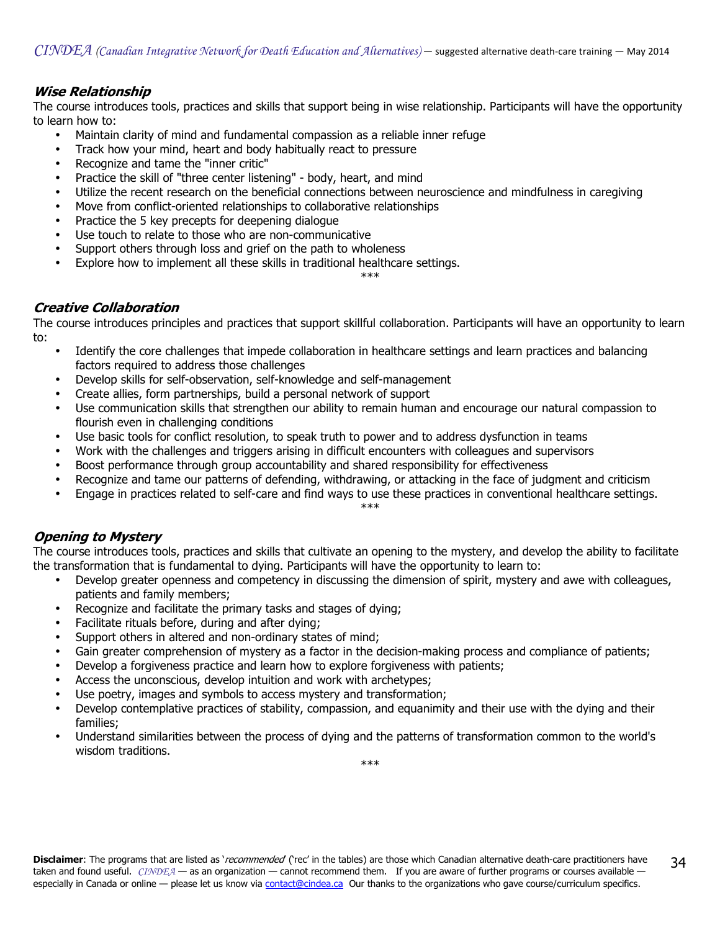## Wise Relationship

The course introduces tools, practices and skills that support being in wise relationship. Participants will have the opportunity to learn how to:

- Maintain clarity of mind and fundamental compassion as a reliable inner refuge
- Track how your mind, heart and body habitually react to pressure
- Recognize and tame the "inner critic"
- Practice the skill of "three center listening" body, heart, and mind
- Utilize the recent research on the beneficial connections between neuroscience and mindfulness in caregiving
- Move from conflict-oriented relationships to collaborative relationships
- Practice the 5 key precepts for deepening dialogue
- Use touch to relate to those who are non-communicative
- Support others through loss and grief on the path to wholeness
- Explore how to implement all these skills in traditional healthcare settings.

\*\*\*

## Creative Collaboration

The course introduces principles and practices that support skillful collaboration. Participants will have an opportunity to learn to:

- Identify the core challenges that impede collaboration in healthcare settings and learn practices and balancing factors required to address those challenges
- Develop skills for self-observation, self-knowledge and self-management
- Create allies, form partnerships, build a personal network of support
- Use communication skills that strengthen our ability to remain human and encourage our natural compassion to flourish even in challenging conditions
- Use basic tools for conflict resolution, to speak truth to power and to address dysfunction in teams
- Work with the challenges and triggers arising in difficult encounters with colleagues and supervisors
- Boost performance through group accountability and shared responsibility for effectiveness
- Recognize and tame our patterns of defending, withdrawing, or attacking in the face of judgment and criticism
- Engage in practices related to self-care and find ways to use these practices in conventional healthcare settings.

#### \*\*\*

## Opening to Mystery

The course introduces tools, practices and skills that cultivate an opening to the mystery, and develop the ability to facilitate the transformation that is fundamental to dying. Participants will have the opportunity to learn to:

- Develop greater openness and competency in discussing the dimension of spirit, mystery and awe with colleagues, patients and family members;
- Recognize and facilitate the primary tasks and stages of dying;
- Facilitate rituals before, during and after dying;
- Support others in altered and non-ordinary states of mind;
- Gain greater comprehension of mystery as a factor in the decision-making process and compliance of patients;
- Develop a forgiveness practice and learn how to explore forgiveness with patients;
- Access the unconscious, develop intuition and work with archetypes;
- Use poetry, images and symbols to access mystery and transformation;
- Develop contemplative practices of stability, compassion, and equanimity and their use with the dying and their families;
- Understand similarities between the process of dying and the patterns of transformation common to the world's wisdom traditions.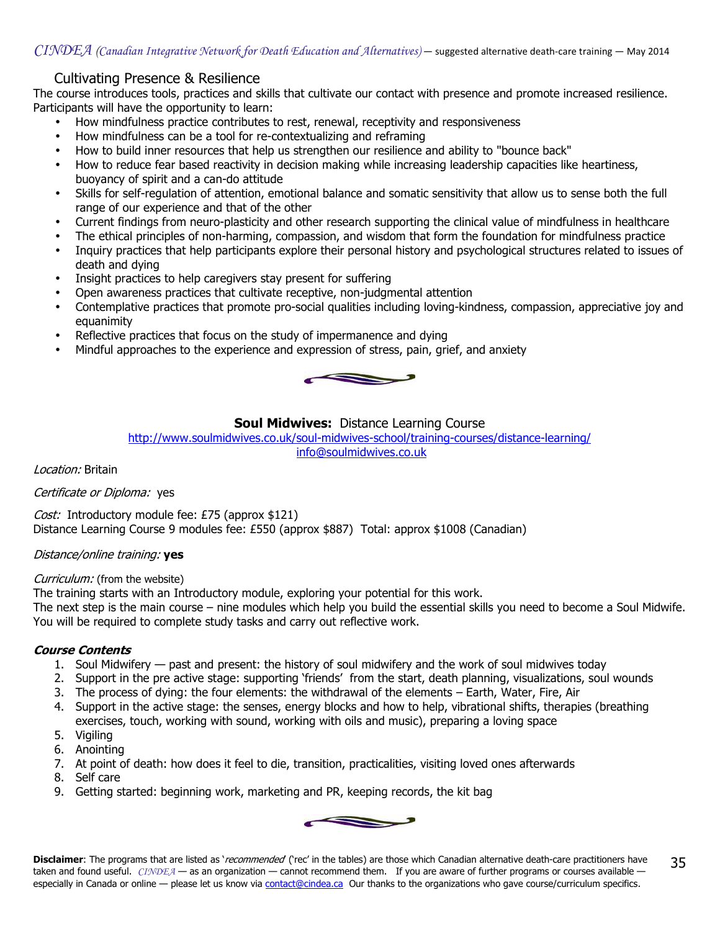## Cultivating Presence & Resilience

The course introduces tools, practices and skills that cultivate our contact with presence and promote increased resilience. Participants will have the opportunity to learn:

- How mindfulness practice contributes to rest, renewal, receptivity and responsiveness
- How mindfulness can be a tool for re-contextualizing and reframing
- How to build inner resources that help us strengthen our resilience and ability to "bounce back"
- How to reduce fear based reactivity in decision making while increasing leadership capacities like heartiness, buoyancy of spirit and a can-do attitude
- Skills for self-regulation of attention, emotional balance and somatic sensitivity that allow us to sense both the full range of our experience and that of the other
- Current findings from neuro-plasticity and other research supporting the clinical value of mindfulness in healthcare
- The ethical principles of non-harming, compassion, and wisdom that form the foundation for mindfulness practice
- Inquiry practices that help participants explore their personal history and psychological structures related to issues of death and dying
- Insight practices to help caregivers stay present for suffering
- Open awareness practices that cultivate receptive, non-judgmental attention
- Contemplative practices that promote pro-social qualities including loving-kindness, compassion, appreciative joy and equanimity
- Reflective practices that focus on the study of impermanence and dying
- Mindful approaches to the experience and expression of stress, pain, grief, and anxiety



## **Soul Midwives: Distance Learning Course**

<http://www.soulmidwives.co.uk/soul-midwives-school/training-courses/distance-learning/> [info@soulmidwives.co.uk](mailto:info@soulmidwives.co.uk)

Location: Britain

Certificate or Diploma: yes

Cost: Introductory module fee: £75 (approx \$121) Distance Learning Course 9 modules fee: £550 (approx \$887) Total: approx \$1008 (Canadian)

#### Distance/online training: yes

Curriculum: (from the website)

The training starts with an Introductory module, exploring your potential for this work.

The next step is the main course – nine modules which help you build the essential skills you need to become a Soul Midwife. You will be required to complete study tasks and carry out reflective work.

## Course Contents

- 1. Soul Midwifery past and present: the history of soul midwifery and the work of soul midwives today
- 2. Support in the pre active stage: supporting 'friends' from the start, death planning, visualizations, soul wounds
- 3. The process of dying: the four elements: the withdrawal of the elements Earth, Water, Fire, Air
- 4. Support in the active stage: the senses, energy blocks and how to help, vibrational shifts, therapies (breathing exercises, touch, working with sound, working with oils and music), preparing a loving space
- 5. Vigiling
- 6. Anointing
- 7. At point of death: how does it feel to die, transition, practicalities, visiting loved ones afterwards
- 8. Self care
- 9. Getting started: beginning work, marketing and PR, keeping records, the kit bag

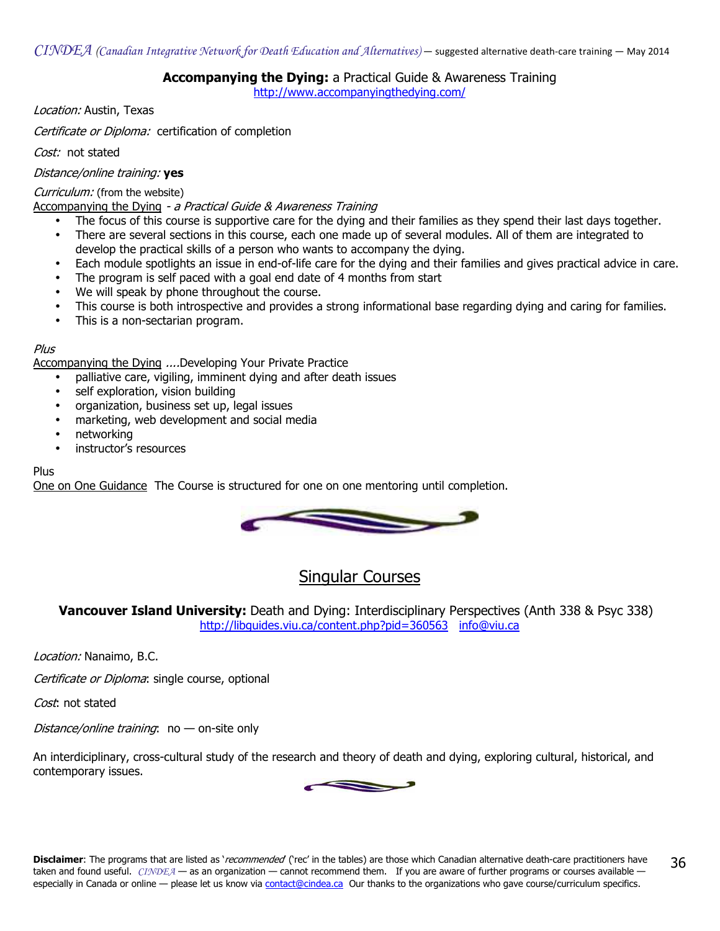## Accompanying the Dying: a Practical Guide & Awareness Training

<http://www.accompanyingthedying.com/>

Location: Austin, Texas

Certificate or Diploma: certification of completion

Cost: not stated

#### Distance/online training: yes

#### Curriculum: (from the website)

Accompanying the Dying - a Practical Guide & Awareness Training

- The focus of this course is supportive care for the dying and their families as they spend their last days together.
- There are several sections in this course, each one made up of several modules. All of them are integrated to develop the practical skills of a person who wants to accompany the dying.
- Each module spotlights an issue in end-of-life care for the dying and their families and gives practical advice in care.
- The program is self paced with a goal end date of 4 months from start
- We will speak by phone throughout the course.
- This course is both introspective and provides a strong informational base regarding dying and caring for families.
- This is a non-sectarian program.

#### Plus

Accompanying the Dying ....Developing Your Private Practice

- palliative care, vigiling, imminent dying and after death issues
- self exploration, vision building
- organization, business set up, legal issues
- marketing, web development and social media
- networking
- instructor's resources

#### Plus

One on One Guidance The Course is structured for one on one mentoring until completion.



# Singular Courses

Vancouver Island University: Death and Dying: Interdisciplinary Perspectives (Anth 338 & Psyc 338) <http://libguides.viu.ca/content.php?pid=360563>[info@viu.ca](mailto:info@viu.ca)

Location: Nanaimo, B.C.

Certificate or Diploma: single course, optional

Cost: not stated

Distance/online training:  $no$  — on-site only

An interdiciplinary, cross-cultural study of the research and theory of death and dying, exploring cultural, historical, and contemporary issues.

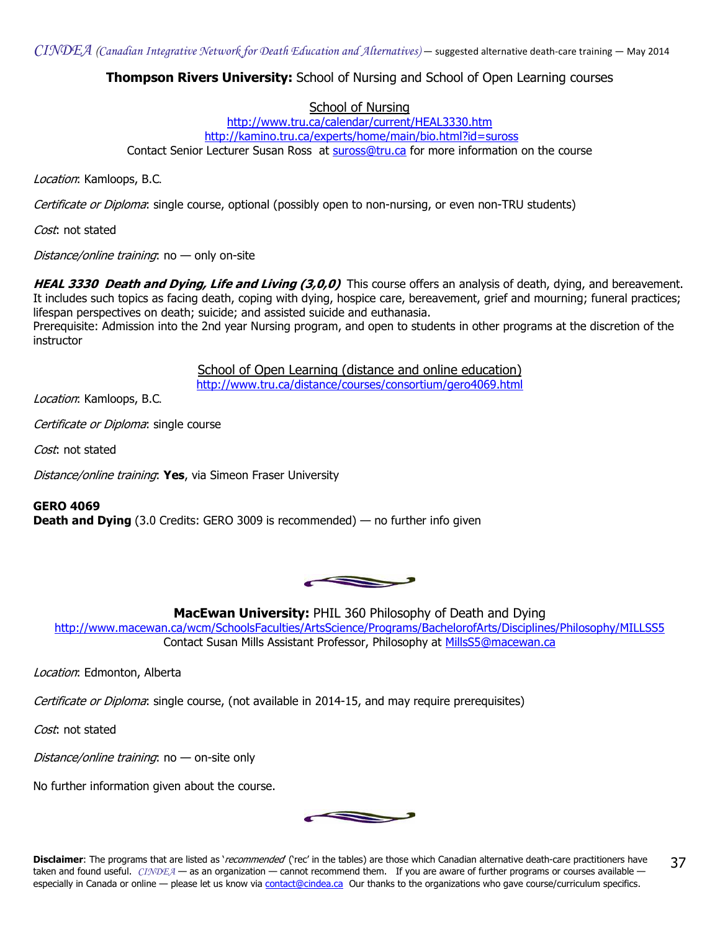**Thompson Rivers University:** School of Nursing and School of Open Learning courses

## School of Nursing

<http://www.tru.ca/calendar/current/HEAL3330.htm> <http://kamino.tru.ca/experts/home/main/bio.html?id=suross> Contact Senior Lecturer Susan Ross a[t suross@tru.ca f](mailto:suross@tru.ca)or more information on the course

Location: Kamloops, B.C.

*Certificate or Diploma*: single course, optional (possibly open to non-nursing, or even non-TRU students)

Cost: not stated

Distance/online training:  $no$  — only on-site

HEAL 3330 Death and Dying, Life and Living (3,0,0) This course offers an analysis of death, dying, and bereavement. It includes such topics as facing death, coping with dying, hospice care, bereavement, grief and mourning; funeral practices; lifespan perspectives on death; suicide; and assisted suicide and euthanasia.

Prerequisite: Admission into the 2nd year Nursing program, and open to students in other programs at the discretion of the instructor

> School of Open Learning (distance and online education) <http://www.tru.ca/distance/courses/consortium/gero4069.html>

Location: Kamloops, B.C.

Certificate or Diploma: single course

Cost: not stated

Distance/online training: Yes, via Simeon Fraser University

## GERO 4069

**Death and Dying** (3.0 Credits: GERO 3009 is recommended) — no further info given



MacEwan University: PHIL 360 Philosophy of Death and Dying

<http://www.macewan.ca/wcm/SchoolsFaculties/ArtsScience/Programs/BachelorofArts/Disciplines/Philosophy/MILLSS5> Contact Susan Mills Assistant Professor, Philosophy at [MillsS5@macewan.ca](mailto:MillsS5@macewan.ca)

Location: Edmonton, Alberta

Certificate or Diploma: single course, (not available in 2014-15, and may require prerequisites)

Cost: not stated

Distance/online training:  $no$  — on-site only

No further information given about the course.

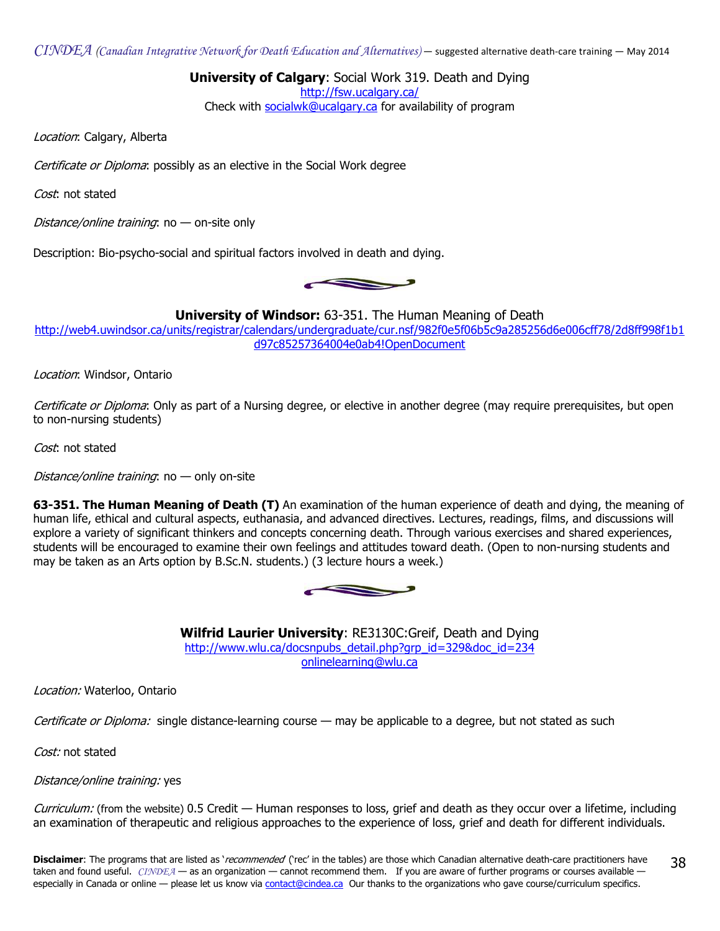$CINDEA$  (Canadian Integrative Network for Death Education and Alternatives) — suggested alternative death-care training — May 2014

University of Calgary: Social Work 319. Death and Dying

<http://fsw.ucalgary.ca/>

Check with [socialwk@ucalgary.ca](mailto:socialwk@ucalgary.ca) for availability of program

Location: Calgary, Alberta

Certificate or Diploma: possibly as an elective in the Social Work degree

Cost: not stated

Distance/online training:  $no$  — on-site only

Description: Bio-psycho-social and spiritual factors involved in death and dying.

 $\mathbf{r}$ 

**University of Windsor:** 63-351. The Human Meaning of Death

[http://web4.uwindsor.ca/units/registrar/calendars/undergraduate/cur.nsf/982f0e5f06b5c9a285256d6e006cff78/2d8ff998f1b1](http://web4.uwindsor.ca/units/registrar/calendars/undergraduate/cur.nsf/982f0e5f06b5c9a285256d6e006cff78/2d8ff998f1b1d97c85257364004e0ab4!OpenDocument) d97c85257364004e0ab4!OpenDocument

Location: Windsor, Ontario

Certificate or Diploma: Only as part of a Nursing degree, or elective in another degree (may require prerequisites, but open to non-nursing students)

Cost: not stated

Distance/online training:  $no$  — only on-site

63-351. The Human Meaning of Death (T) An examination of the human experience of death and dying, the meaning of human life, ethical and cultural aspects, euthanasia, and advanced directives. Lectures, readings, films, and discussions will explore a variety of significant thinkers and concepts concerning death. Through various exercises and shared experiences, students will be encouraged to examine their own feelings and attitudes toward death. (Open to non-nursing students and may be taken as an Arts option by B.Sc.N. students.) (3 lecture hours a week.)



Wilfrid Laurier University: RE3130C:Greif, Death and Dying [http://www.wlu.ca/docsnpubs\\_detail.php?grp\\_id=329&doc\\_id=234](http://www.wlu.ca/docsnpubs_detail.php?grp_id=329&doc_id=234) [onlinelearning@wlu.ca](mailto:onlinelearning@wlu.ca)

Location: Waterloo, Ontario

Certificate or Diploma: single distance-learning course — may be applicable to a degree, but not stated as such

Cost: not stated

Distance/online training: yes

Curriculum: (from the website) 0.5 Credit — Human responses to loss, grief and death as they occur over a lifetime, including an examination of therapeutic and religious approaches to the experience of loss, grief and death for different individuals.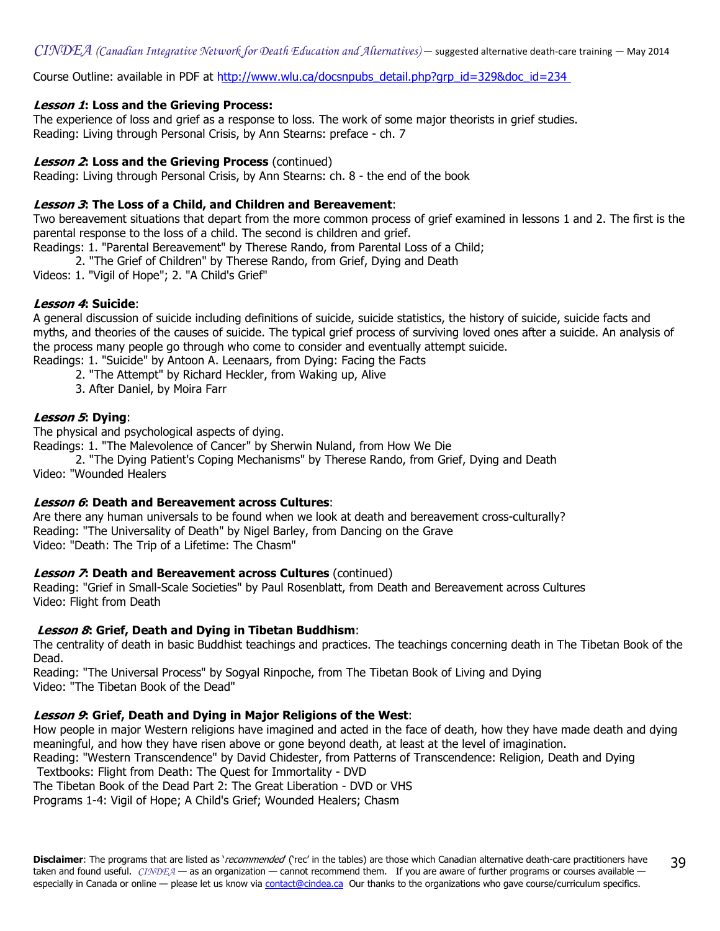$CINDEA$  (Canadian Integrative Network for Death Education and Alternatives) — suggested alternative death-care training — May 2014

Course Outline: available in PDF at [http://www.wlu.ca/docsnpubs\\_detail.php?grp\\_id=329&doc\\_id=234](http://www.wlu.ca/docsnpubs_detail.php?grp_id=329&doc_id=234)

## Lesson 1: Loss and the Grieving Process:

The experience of loss and grief as a response to loss. The work of some major theorists in grief studies. Reading: Living through Personal Crisis, by Ann Stearns: preface - ch. 7

#### **Lesson 2: Loss and the Grieving Process (continued)**

Reading: Living through Personal Crisis, by Ann Stearns: ch. 8 - the end of the book

#### Lesson 3: The Loss of a Child, and Children and Bereavement:

Two bereavement situations that depart from the more common process of grief examined in lessons 1 and 2. The first is the parental response to the loss of a child. The second is children and grief.

Readings: 1. "Parental Bereavement" by Therese Rando, from Parental Loss of a Child;

2. "The Grief of Children" by Therese Rando, from Grief, Dying and Death

Videos: 1. "Vigil of Hope"; 2. "A Child's Grief"

## Lesson 4: Suicide:

A general discussion of suicide including definitions of suicide, suicide statistics, the history of suicide, suicide facts and myths, and theories of the causes of suicide. The typical grief process of surviving loved ones after a suicide. An analysis of the process many people go through who come to consider and eventually attempt suicide. Readings: 1. "Suicide" by Antoon A. Leenaars, from Dying: Facing the Facts

2. "The Attempt" by Richard Heckler, from Waking up, Alive

3. After Daniel, by Moira Farr

#### Lesson 5: Dying:

The physical and psychological aspects of dying.

Readings: 1. "The Malevolence of Cancer" by Sherwin Nuland, from How We Die

 2. "The Dying Patient's Coping Mechanisms" by Therese Rando, from Grief, Dying and Death Video: "Wounded Healers

#### Lesson 6: Death and Bereavement across Cultures:

Are there any human universals to be found when we look at death and bereavement cross-culturally? Reading: "The Universality of Death" by Nigel Barley, from Dancing on the Grave Video: "Death: The Trip of a Lifetime: The Chasm"

#### **Lesson 7: Death and Bereavement across Cultures (continued)**

Reading: "Grief in Small-Scale Societies" by Paul Rosenblatt, from Death and Bereavement across Cultures Video: Flight from Death

## Lesson 8: Grief, Death and Dying in Tibetan Buddhism:

The centrality of death in basic Buddhist teachings and practices. The teachings concerning death in The Tibetan Book of the Dead.

Reading: "The Universal Process" by Sogyal Rinpoche, from The Tibetan Book of Living and Dying Video: "The Tibetan Book of the Dead"

#### Lesson 9: Grief, Death and Dying in Major Religions of the West:

How people in major Western religions have imagined and acted in the face of death, how they have made death and dying meaningful, and how they have risen above or gone beyond death, at least at the level of imagination.

Reading: "Western Transcendence" by David Chidester, from Patterns of Transcendence: Religion, Death and Dying Textbooks: Flight from Death: The Quest for Immortality - DVD

The Tibetan Book of the Dead Part 2: The Great Liberation - DVD or VHS

Programs 1-4: Vigil of Hope; A Child's Grief; Wounded Healers; Chasm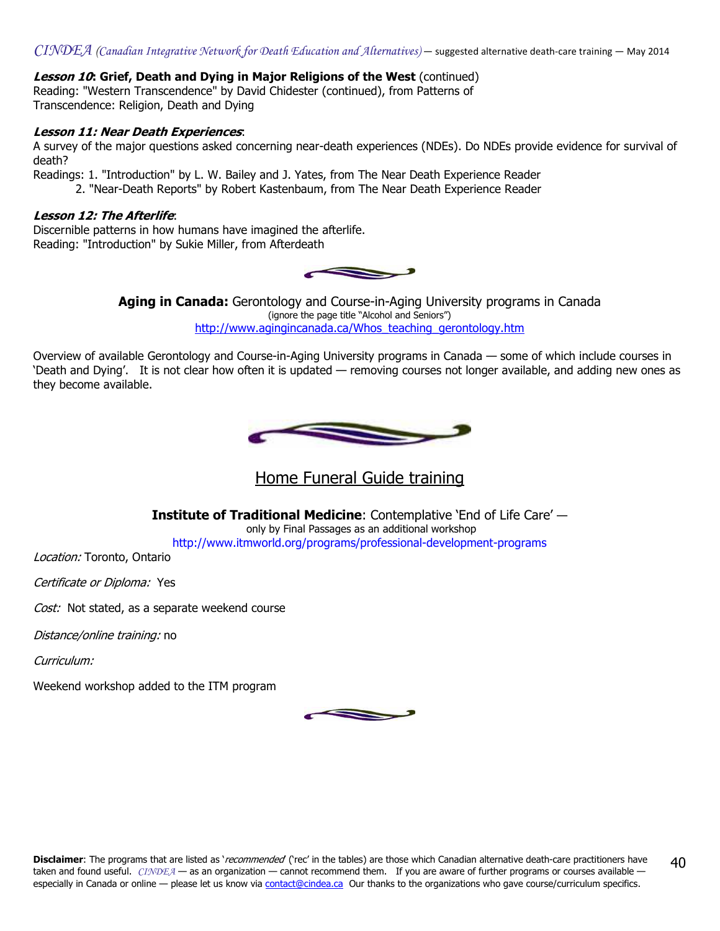## **Lesson 10: Grief, Death and Dying in Major Religions of the West (continued)**

Reading: "Western Transcendence" by David Chidester (continued), from Patterns of Transcendence: Religion, Death and Dying

## Lesson 11: Near Death Experiences:

A survey of the major questions asked concerning near-death experiences (NDEs). Do NDEs provide evidence for survival of death?

Readings: 1. "Introduction" by L. W. Bailey and J. Yates, from The Near Death Experience Reader

2. "Near-Death Reports" by Robert Kastenbaum, from The Near Death Experience Reader

#### Lesson 12: The Afterlife:

Discernible patterns in how humans have imagined the afterlife. Reading: "Introduction" by Sukie Miller, from Afterdeath



**Aging in Canada:** Gerontology and Course-in-Aging University programs in Canada (ignore the page title "Alcohol and Seniors") [http://www.agingincanada.ca/Whos\\_teaching\\_gerontology.htm](http://www.agingincanada.ca/Whos_teaching_gerontology.htm) 

Overview of available Gerontology and Course-in-Aging University programs in Canada — some of which include courses in 'Death and Dying'. It is not clear how often it is updated — removing courses not longer available, and adding new ones as they become available.



Home Funeral Guide training

Institute of Traditional Medicine: Contemplative 'End of Life Care' only by Final Passages as an additional workshop <http://www.itmworld.org/programs/professional-development-programs>

Location: Toronto, Ontario

Certificate or Diploma: Yes

Cost: Not stated, as a separate weekend course

Distance/online training: no

Curriculum:

Weekend workshop added to the ITM program

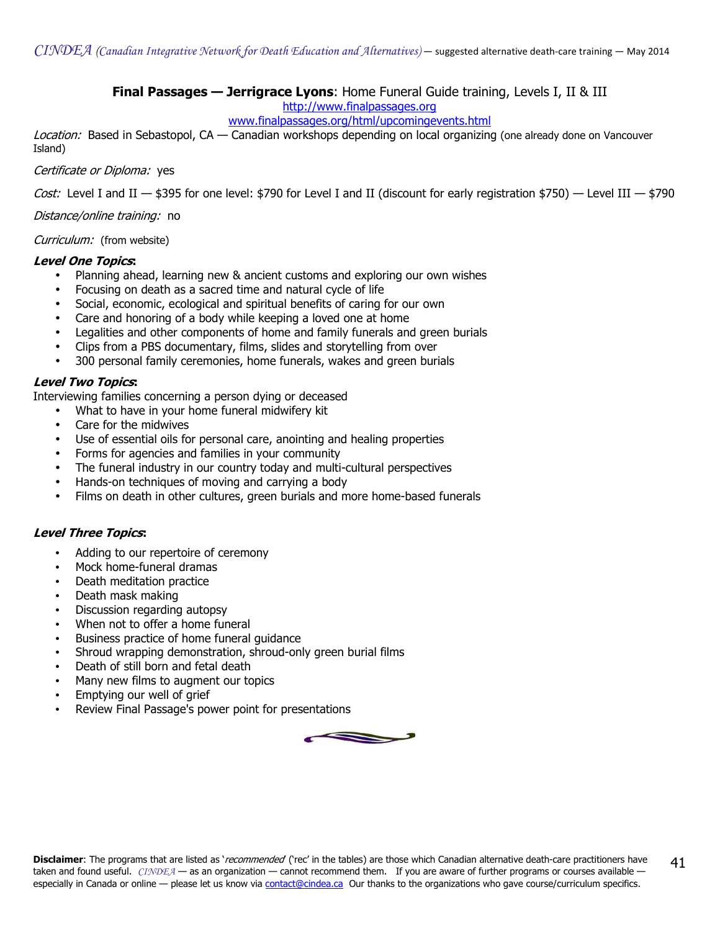**Final Passages — Jerrigrace Lyons:** Home Funeral Guide training, Levels I, II & III

```
http://www.finalpassages.org
```
## [www.finalpassages.org/html/upcomingevents.html](http//www.finalpassages.org/html/upcomingevents.html)

Location: Based in Sebastopol, CA — Canadian workshops depending on local organizing (one already done on Vancouver Island)

Certificate or Diploma: yes

Cost: Level I and II  $-$  \$395 for one level: \$790 for Level I and II (discount for early registration \$750)  $-$  Level III  $-$  \$790

Distance/online training: no

Curriculum: (from website)

#### Level One Topics:

- Planning ahead, learning new & ancient customs and exploring our own wishes
- Focusing on death as a sacred time and natural cycle of life
- Social, economic, ecological and spiritual benefits of caring for our own
- Care and honoring of a body while keeping a loved one at home
- Legalities and other components of home and family funerals and green burials
- Clips from a PBS documentary, films, slides and storytelling from over
- 300 personal family ceremonies, home funerals, wakes and green burials

## Level Two Topics:

Interviewing families concerning a person dying or deceased

- What to have in your home funeral midwifery kit
- Care for the midwives
- Use of essential oils for personal care, anointing and healing properties
- Forms for agencies and families in your community
- The funeral industry in our country today and multi-cultural perspectives
- Hands-on techniques of moving and carrying a body
- Films on death in other cultures, green burials and more home-based funerals

## Level Three Topics:

- Adding to our repertoire of ceremony
- Mock home-funeral dramas
- Death meditation practice
- Death mask making
- Discussion regarding autopsy
- When not to offer a home funeral
- Business practice of home funeral guidance
- Shroud wrapping demonstration, shroud-only green burial films
- Death of still born and fetal death
- Many new films to augment our topics
- Emptying our well of grief
- Review Final Passage's power point for presentations

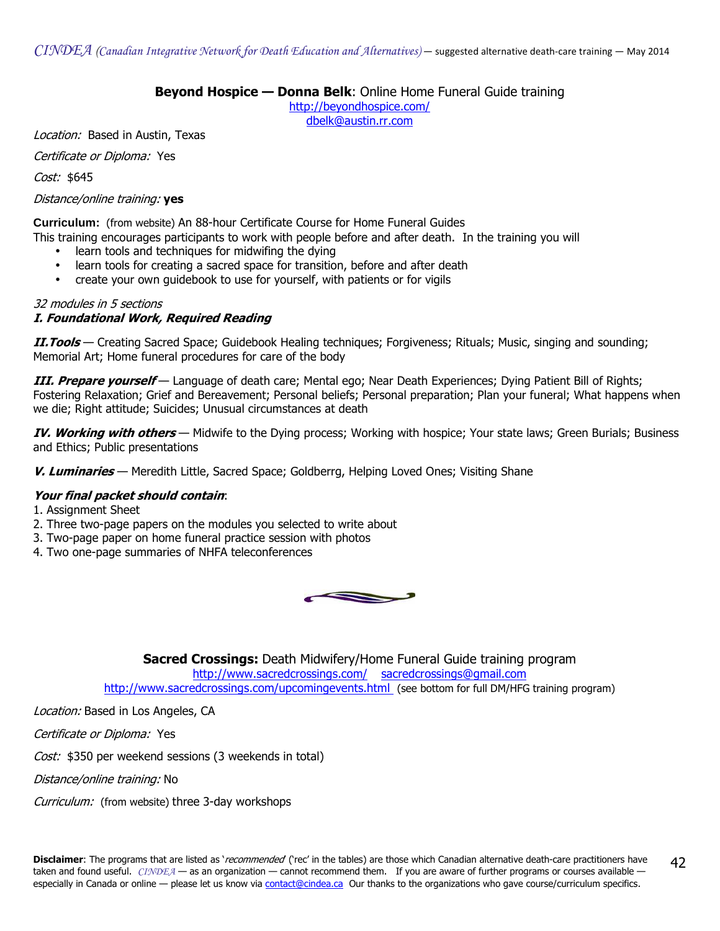## Beyond Hospice - Donna Belk: Online Home Funeral Guide training

<http://beyondhospice.com/>

[dbelk@austin.rr.com](mailto:dbelk@austin.rr.com)

Location: Based in Austin, Texas

Certificate or Diploma: Yes

Cost: \$645

#### Distance/online training: yes

**Curriculum:** (from website) An 88-hour Certificate Course for Home Funeral Guides

This training encourages participants to work with people before and after death. In the training you will

- learn tools and techniques for midwifing the dying
- learn tools for creating a sacred space for transition, before and after death
- create your own quidebook to use for yourself, with patients or for vigils

#### 32 modules in 5 sections I. Foundational Work, Required Reading

II. Tools - Creating Sacred Space; Guidebook Healing techniques; Forgiveness; Rituals; Music, singing and sounding; Memorial Art; Home funeral procedures for care of the body

III. Prepare yourself — Language of death care; Mental ego; Near Death Experiences; Dying Patient Bill of Rights; Fostering Relaxation; Grief and Bereavement; Personal beliefs; Personal preparation; Plan your funeral; What happens when we die; Right attitude; Suicides; Unusual circumstances at death

IV. Working with others - Midwife to the Dying process; Working with hospice; Your state laws; Green Burials; Business and Ethics; Public presentations

V. Luminaries — Meredith Little, Sacred Space; Goldberrg, Helping Loved Ones; Visiting Shane

## Your final packet should contain:

- 1. Assignment Sheet
- 2. Three two-page papers on the modules you selected to write about
- 3. Two-page paper on home funeral practice session with photos
- 4. Two one-page summaries of NHFA teleconferences



Sacred Crossings: Death Midwifery/Home Funeral Guide training program <http://www.sacredcrossings.com/> [sacredcrossings@gmail.com](mailto:sacredcrossings@gmail.com) <http://www.sacredcrossings.com/upcomingevents.html>(see bottom for full DM/HFG training program)

Location: Based in Los Angeles, CA

Certificate or Diploma: Yes

Cost: \$350 per weekend sessions (3 weekends in total)

Distance/online training: No

Curriculum: (from website) three 3-day workshops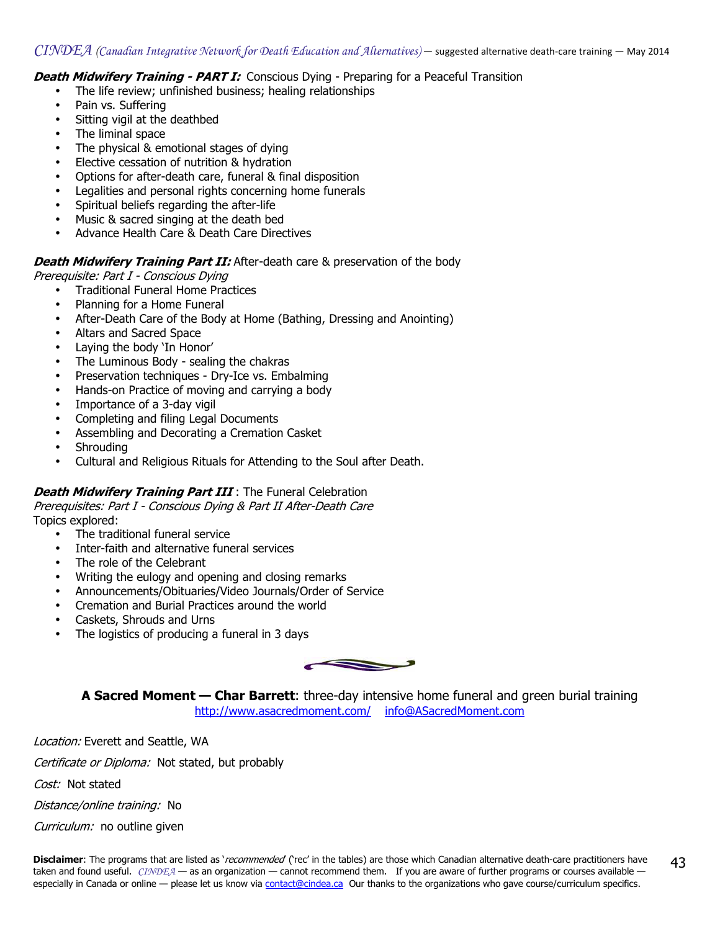**Death Midwifery Training - PART I:** Conscious Dying - Preparing for a Peaceful Transition

- The life review; unfinished business; healing relationships
- Pain vs. Suffering
- Sitting vigil at the deathbed
- The liminal space
- The physical & emotional stages of dying
- Elective cessation of nutrition & hydration
- Options for after-death care, funeral & final disposition
- Legalities and personal rights concerning home funerals
- Spiritual beliefs regarding the after-life
- Music & sacred singing at the death bed
- Advance Health Care & Death Care Directives

## **Death Midwifery Training Part II:** After-death care & preservation of the body

Prerequisite: Part I - Conscious Dying

- Traditional Funeral Home Practices
- Planning for a Home Funeral
- After-Death Care of the Body at Home (Bathing, Dressing and Anointing)
- Altars and Sacred Space
- Laying the body 'In Honor'
- The Luminous Body sealing the chakras
- Preservation techniques Dry-Ice vs. Embalming
- Hands-on Practice of moving and carrying a body
- Importance of a 3-day vigil
- Completing and filing Legal Documents
- Assembling and Decorating a Cremation Casket
- **Shrouding**
- Cultural and Religious Rituals for Attending to the Soul after Death.

## **Death Midwifery Training Part III**: The Funeral Celebration

Prerequisites: Part I - Conscious Dying & Part II After-Death Care Topics explored:

- The traditional funeral service
- Inter-faith and alternative funeral services
- The role of the Celebrant
- Writing the eulogy and opening and closing remarks
- Announcements/Obituaries/Video Journals/Order of Service
- Cremation and Burial Practices around the world
- Caskets, Shrouds and Urns
- The logistics of producing a funeral in 3 days



A Sacred Moment — Char Barrett: three-day intensive home funeral and green burial training <http://www.asacredmoment.com/> [info@ASacredMoment.com](mailto:info@ASacredMoment.com)

Location: Everett and Seattle, WA

Certificate or Diploma: Not stated, but probably

Cost: Not stated

Distance/online training: No

Curriculum: no outline given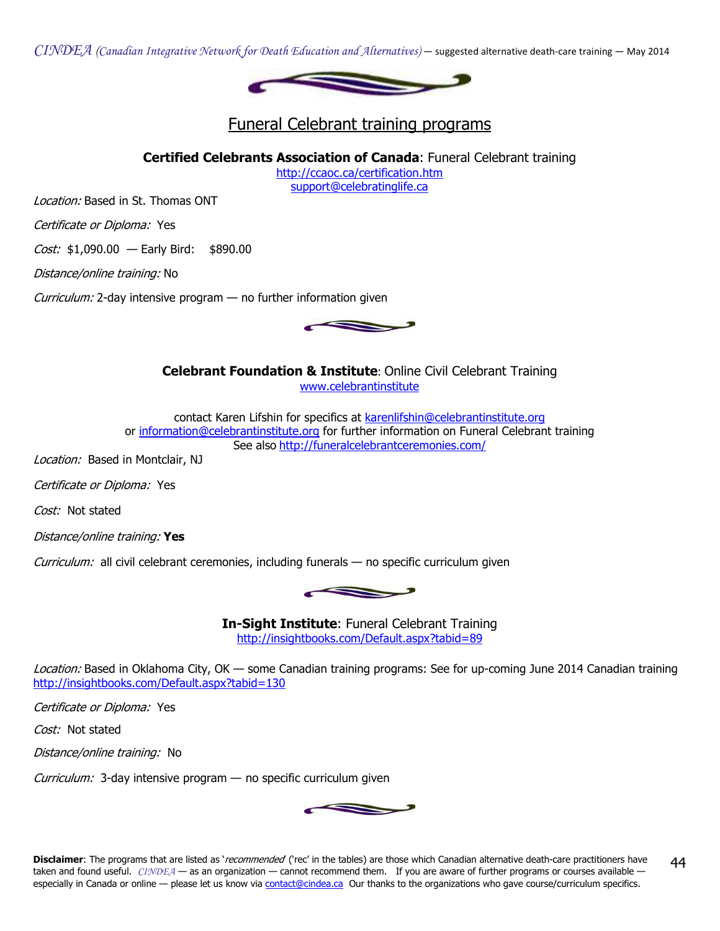$CINDEA$  (Canadian Integrative Network for Death Education and Alternatives) — suggested alternative death-care training — May 2014



## Funeral Celebrant training programs

Certified Celebrants Association of Canada: Funeral Celebrant training

<http://ccaoc.ca/certification.htm> [support@celebratinglife.ca](mailto:support@celebratinglife.ca)

Location: Based in St. Thomas ONT

Certificate or Diploma: Yes

Cost: \$1,090.00 - Early Bird: \$890.00

Distance/online training: No

Curriculum: 2-day intensive program — no further information given

Celebrant Foundation & Institute: Online Civil Celebrant Training

[www.celebrantinstitute](http//www.celebrantinstitute.org)

contact Karen Lifshin for specifics a[t karenlifshin@celebrantinstitute.org](mailto:karenlifshin@celebrantinstitute.org) or [information@celebrantinstitute.org](mailto:information@celebrantinstitute.org) for further information on Funeral Celebrant training See also <http://funeralcelebrantceremonies.com/>

Location: Based in Montclair, NJ

Certificate or Diploma: Yes

Cost: Not stated

Distance/online training: Yes

Curriculum: all civil celebrant ceremonies, including funerals — no specific curriculum given

In-Sight Institute: Funeral Celebrant Training <http://insightbooks.com/Default.aspx?tabid=89>

Location: Based in Oklahoma City, OK — some Canadian training programs: See for up-coming June 2014 Canadian training <http://insightbooks.com/Default.aspx?tabid=130>

Certificate or Diploma: Yes

Cost: Not stated

Distance/online training: No

Curriculum: 3-day intensive program — no specific curriculum given